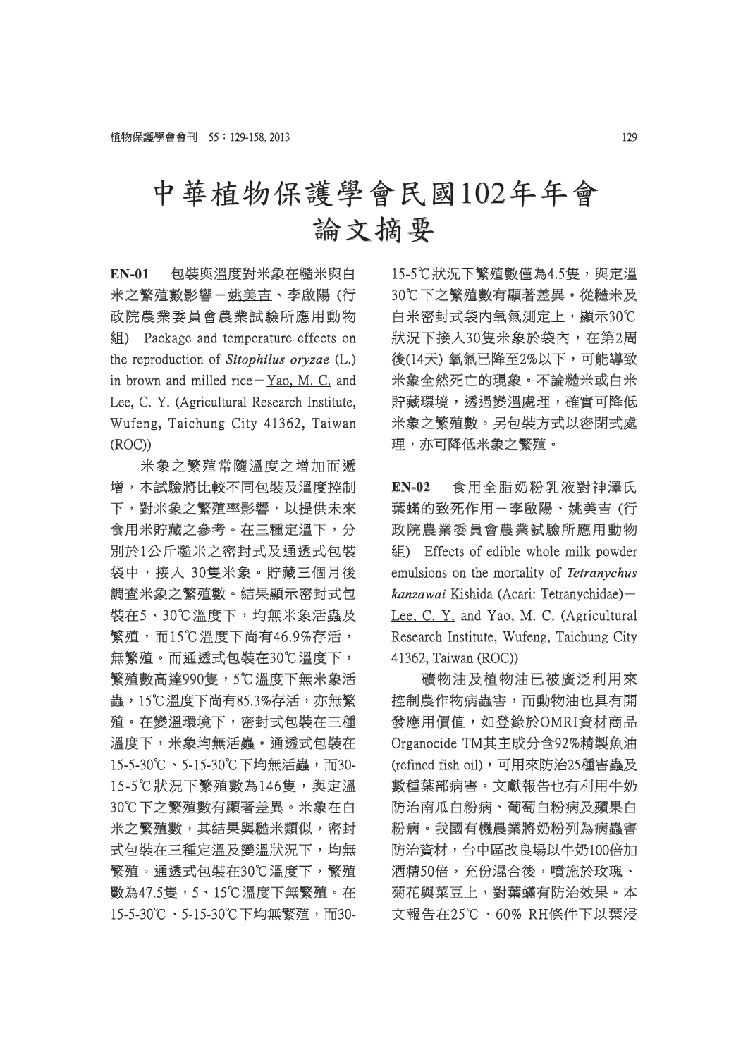## 中華植物保護學會民國102年年會 論文摘要

**EN-01** 包裝與溫度對米象在糙米與白 米之繁殖數影響- 姚美吉、李啟陽 (行 政院農業委員會農業試驗所應用動物 組) Package and temperature effects on ) Package the reproduction of *Sitophilus oryzae* (L.) in brown and milled rice $-Y$ ao, M. C. and Lee, C. Y. (Agricultural Research Institute, Wufeng, Taichung City 41362, Taiwan (ROC))

米象之繁殖常隨溫度之增加而遞 增,本試驗將比較不同包裝及溫度控制 下,對米象之繁殖率影響,以提供未來 食用米貯藏之參考。在三種定溫下,分 別於1公斤糙米之密封式及通透式包裝 袋中,接入 30隻米象。貯藏三個月後 調查米象之繁殖數。結果顯示密封式包 装在5、30℃溫度下,均無米象活蟲及 繁殖,而15℃溫度下尚有46.9%存活, 無繁殖。而通透式包裝在30℃溫度下, 繁殖數高達990隻,5℃溫度下無米象活 蟲,15℃溫度下尚有85.3%存活,亦無繁 ,15℃溫度下尚有85.3%存活,亦無繁 殖。在變溫環境下,密封式包裝在三種 溫度下,米象均無活蟲。通透式包裝在 15-5-30℃、5-15-30℃下均無活蟲,而30- 5-5-30℃、5-15-30℃下均無活蟲,而30- 15-5℃狀況下繁殖數為146隻,與定溫 30℃下之繁殖數有顯著差異。米象在白 米之繁殖數,其結果與糙米類似,密封 式包裝在三種定溫及變溫狀況下,均無 繁殖。通透式包裝在30℃溫度下,繁殖 數為47.5隻,5、15℃溫度下無繁殖。在 15-5-30℃、5-15-30℃下均無繁殖,而30- 5-5-30℃、5-15-30℃下均無繁殖,而3015-5℃狀況下繁殖數僅為4.5隻,與定溫 30℃下之繁殖數有顯著差異。從糙米及 白米密封式袋内氧氣測定上,顯示30℃ 狀況下接入30隻米象於袋內,在第2周 後(14天) 氧氣已降至2%以下,可能導致 米象全然死亡的現象。不論糙米或白米 貯藏環境,透過變溫處理,確實可降低 米象之繁殖數。另包裝方式以密閉式處 理,亦可降低米象之繁殖。

**EN-02** 食用全脂奶粉乳液對神澤氏 葉蟎的致死作用- 李啟陽、姚美吉 (行 政院農業委員會農業試驗所應用動物 组) Effects of edible whole milk powder emulsions on the mortality of Tetranychus *kanzawai* Kishida (Acari: Tetranychidae)-Lee, C. Y. and Yao, M. C. (Agricultural Research Institute, Wufeng, Taichung City 41362, Taiwan (ROC))

礦物油及植物油已被廣泛利用來 物油及植物油已被廣泛利用來 控制農作物病蟲害,而動物油也具有開 發應用價值,如登錄於OMRI資材商品 Organocide TM其主成分含92%精製魚油 (refined fish oil),可用來防治25種害蟲及 數種葉部病害。文獻報告也有利用牛奶 防治南瓜白粉病、葡萄白粉病及蘋果白 粉病。我國有機農業將奶粉列為病蟲害 防治資材,台中區改良場以牛奶100倍加 酒精50倍,充份混合後,噴施於玫瑰、 菊花與菜豆上,對葉蟎有防治效果。本 文報告在25℃、60% RH條件下以葉浸 報告在25℃、60%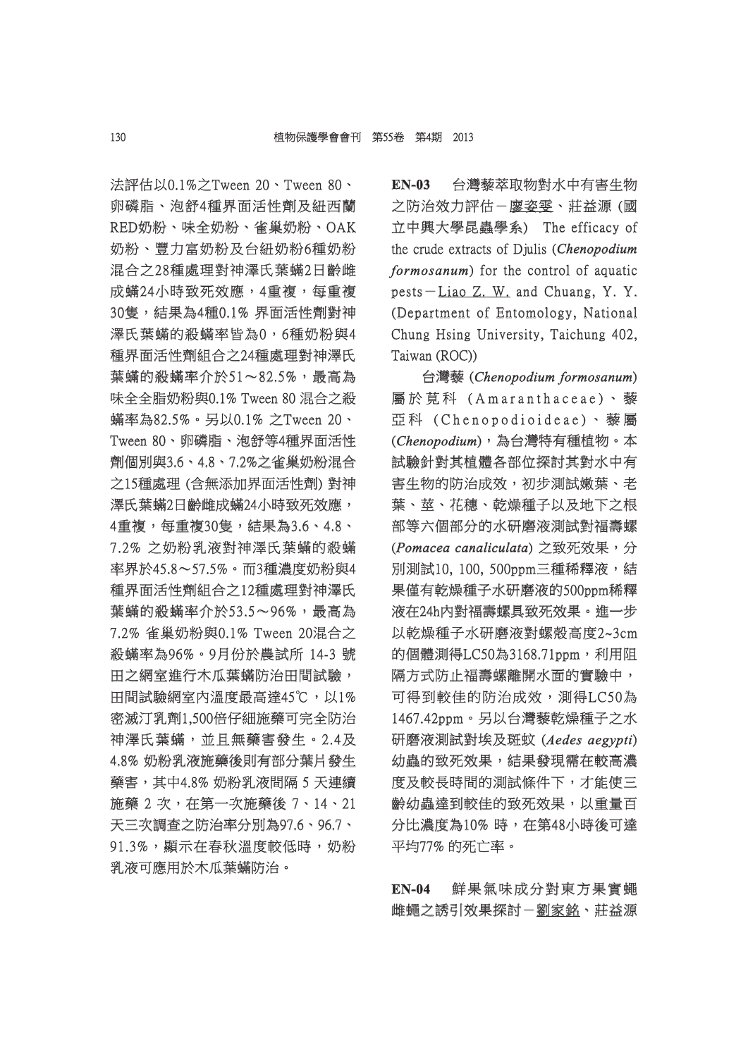法評估以0.1%之Tween 20、Tween 80、 卵磷脂、泡舒4種界面活性劑及紐西蘭 RED奶粉、味全奶粉、雀巢奶粉、OAK 奶粉、豐力富奶粉及台紐奶粉6種奶粉 混合之28種處理對神澤氏葉蟎2日齡雌 成蟎24小時致死效應,4重複,每重複 30隻,結果為4種0.1% 界面活性劑對神 澤氏葉蟎的殺蟎率皆為0,6種奶粉與4 種界面活性劑組合之24種處理對神澤氏 葉蟎的殺蟎率介於51~82.5%,最高為 味全全脂奶粉與 $0.1\%$  Tween  $80$  混合之殺 蟎率為82.5%。另以0.1% 之Tween 20、 率為82.5%。另以0.1% Tween 80、卵磷脂、泡舒等4種界面活性 劑個別與3.6、4.8、7.2%之雀巢奶粉混合 之15種處理 (含無添加界面活性劑) 對神 澤氏葉蟎2日齡雌成蟎24小時致死效應, 4重複,每重複30隻,結果為3.6、4.8、 7.2% 之奶粉乳液對神澤氏葉蟎的殺蟎 .2% 率界於45.8~57.5%。而3種濃度奶粉與4 種界面活性劑組合之12種處理對神澤氏 葉蟎的殺蟎率介於53.5~96%,最高為 7.2% 雀巢奶粉與0.1% Tween 20混合之 殺蟎率為96%。9月份於農試所 14-3號 田之網室進行木瓜葉蟎防治田間試驗, 田間試驗網室內溫度最高達45℃,以1% 密滅汀乳劑1,500倍仔細施藥可完全防治 神澤氏葉蟎,並且無藥害發生。2.4及 4.8% 奶粉乳液施藥後則有部分葉片發生 藥害,其中4.8% 奶粉乳液間隔 5 天連續 施藥 2 次,在第一次施藥後 7、14、21 天三次調查之防治率分別為97.6、96.7、 91.3%,顯示在春秋溫度較低時,奶粉 乳液可應用於木瓜葉蟎防治。

**EN-03** 台灣藜萃取物對水中有害生物 之防治效力評估- 廖姿雯、莊益源 (國 立中興大學昆蟲學系) The efficacy of the crude extracts of Djulis (*Chenopodium formosanum*) for the control of aquatic pests-Liao  $Z$ . W. and Chuang, Y. Y. (Department of Entomology, National Chung Hsing University, Taichung 402, Taiwan (ROC))

台灣藜 (*Chenopodium formosanum henopodium* ) 屬於莧科 (Amaranthaceae)、藜 亞科 (Chenopodioideae)、藜屬 (*Chenopodium henopodium*),為台灣特有種植物。本 ,為台灣特有種植物。本 試驗針對其植體各部位探討其對水中有 害生物的防治成效,初步測試嫩葉、老 葉、莖、花穗、乾燥種子以及地下之根 部等六個部分的水研磨液測試對福壽螺 (*Pomacea canaliculata omacea* ) 之致死效果,分 之致死效果,分 別測試10, 100, 500ppm三種稀釋液,結 果僅有乾燥種子水研磨液的500ppm稀釋 液在24h内對福壽螺具致死效果。進一步 以乾燥種子水研磨液對螺殼高度2~3cm 的個體測得LC50為3168.71ppm, 利用阻 隔方式防止福壽螺離開水面的實驗中, 可得到較佳的防治成效,測得LC50為 1467.42ppm。另以台灣藜乾燥種子之水 467.42ppm。另以台灣藜乾燥種子之水 研磨液測試對埃及斑蚊 (Aedes aegypti) 幼蟲的致死效果,結果發現需在較高濃 度及較長時間的測試條件下,才能使三 齢幼蟲達到較佳的致死效果,以重量百 分比濃度為10% 時,在第48小時後可達 平均77% 的死亡率。

**EN-04** 鮮果氣味成分對東方果實蠅 雌蠅之誘引效果探討-劉家銘、莊益源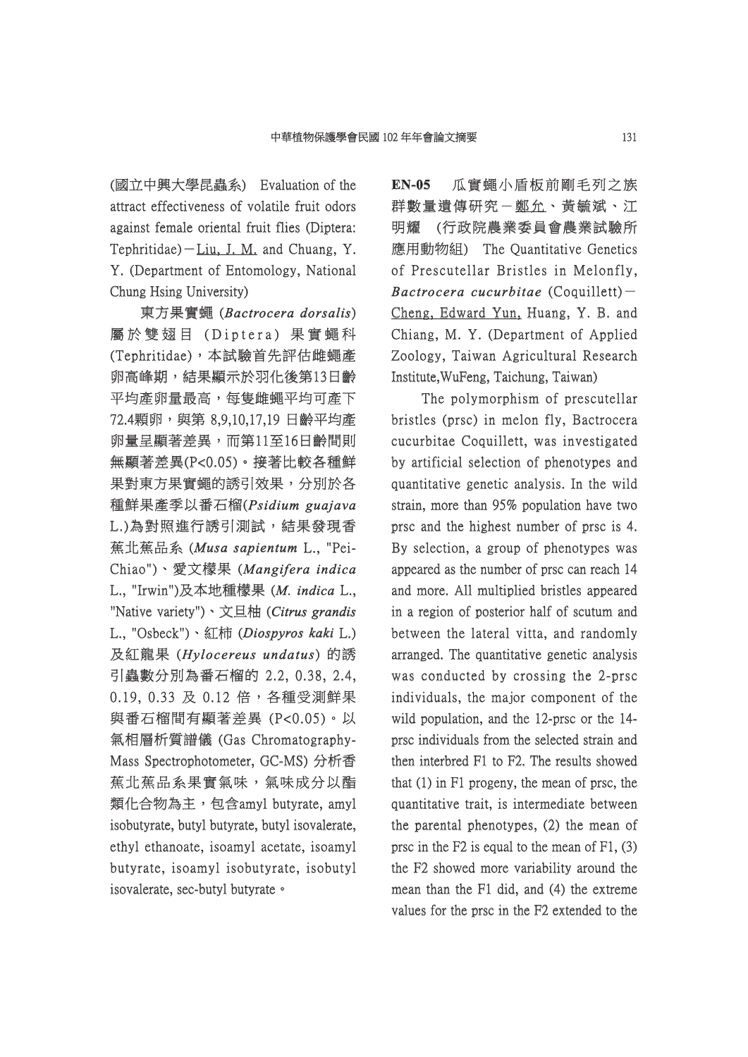(國立中興大學昆蟲系) Evaluation of the 國立中興大學昆蟲系) Evaluation attract effectiveness of volatile fruit odors against female oriental fruit flies (Diptera: Tephritidae) $-Liu$ , J. M. and Chuang, Y. Y. (Department of Entomology, National Chung Hsing University)

東方果實蠅 (*Bactrocera dorsalis*) 屬於雙翅目 (Diptera) 果實蠅科 (Tephritidae),本試驗首先評估雌蠅產 卵高峰期,結果顯示於羽化後第13日齡 平均產卵量最高,每隻雌蠅平均可產下 72.4顆卵,與第 8,9,10,17,19 日齡平均產 卵量呈顯著差異,而第11至16日齡間則 無顯著差異(P<0.05)。接著比較各種鮮 果對東方果實蠅的誘引效果,分別於各 種鮮果產季以番石榴(Psidium guajava L.)為對照進行誘引測試,結果發現香 蕉北蕉品系 (*Musa sapientum usa* L., "Pei- "Pei-Chiao")、愛文檬果 ( hiao")、愛文檬果 *Mangifera indica angifera*  L., "Irwin")及本地種樣果 (*M. indica* L., "Native variety")、文旦柚 (Citrus grandis L., "Osbeck")、紅柿 (Diospyros kaki L.) 及紅龍果 (*Hylocereus undatus ylocereus* ) 的誘 引蟲數分別為番石榴的 2.2, 0.38, 2.4, 0.19, 0.33 及 0.12 倍, 各種受測鮮果 與番石榴間有顯著差異 (P<0.05)。以 氣相層析質譜儀 (Gas Chromatography- 相層析質譜儀 Chromatography-Mass Spectrophotometer, GC-MS) 分析香 蕉北蕉品系果實氣味,氣味成分以酯 類化合物為主,包含amyl butyrate, amyl isobutyrate, butyl butyrate, butyl isovalerate, ethyl ethanoate, isoamyl acetate, isoamyl thyl butyrate, isoamyl isobutyrate, isobutyl isovalerate, sec-butyl butyrate .

**EN-05** 瓜實蠅小盾板前剛毛列之族 群數量遺傳研究- 鄭允、黃毓斌、江 明耀 (行政院農業委員會農業試驗所 應用動物組) The Quantitative Genetics of Prescutellar Bristles in Melonfly. *Bactrocera cucurbitae* (Coquillett)-Cheng, Edward Yun, Huang, Y. B. and Chiang, M. Y. (Department of Applied Zoology, Taiwan Agricultural Research Institute, WuFeng, Taichung, Taiwan)

The polymorphism of prescutellar bristles (prsc) in melon fly, Bactrocera cucurbitae Coquillett, was investigated by artificial selection of phenotypes and quantitative genetic analysis. In the wild strain, more than  $95\%$  population have two prsc and the highest number of prsc is 4. By selection, a group of phenotypes was appeared as the number of prsc can reach 14 and more. All multiplied bristles appeared in a region of posterior half of scutum and between the lateral vitta, and randomly arranged. The quantitative genetic analysis was conducted by crossing the 2-prsc individuals, the major component of the wild population, and the  $12$ -prsc or the  $14$ prsc individuals from the selected strain and then interbred F1 to F2. The results showed that  $(1)$  in F1 progeny, the mean of prsc, the quantitative trait, is intermediate between the parental phenotypes,  $(2)$  the mean of prsc in the F2 is equal to the mean of F1,  $(3)$ the F2 showed more variability around the mean than the  $F1$  did, and  $(4)$  the extreme values for the prsc in the F2 extended to the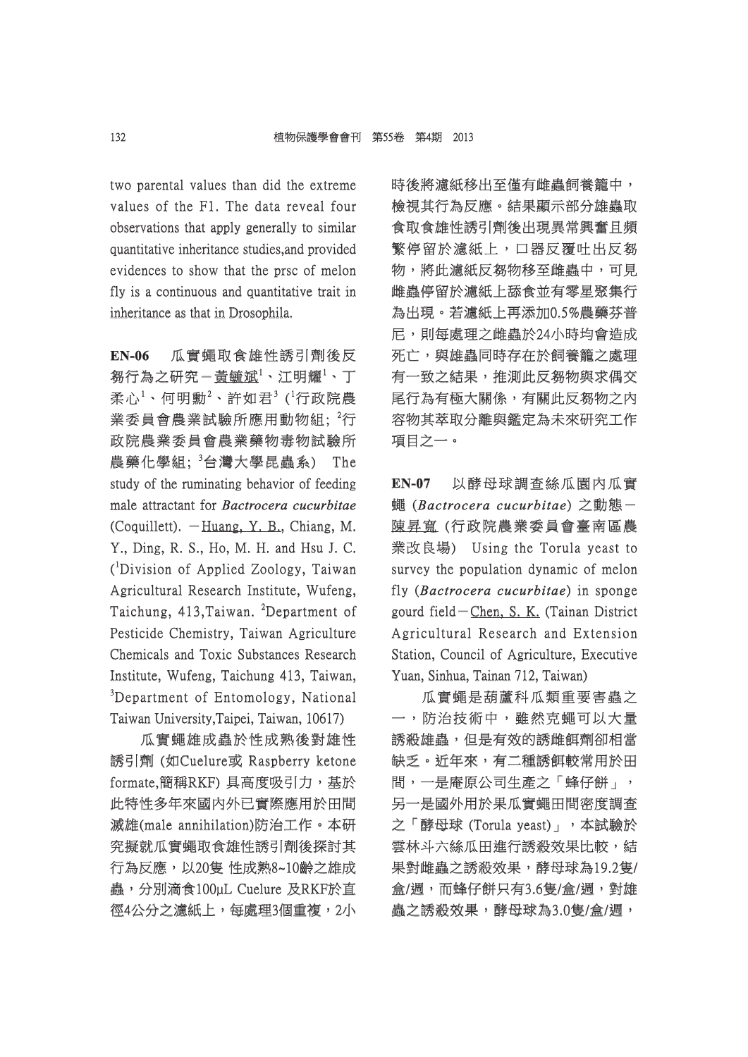two parental values than did the extreme values of the F1. The data reveal four observations that apply generally to similar quantitative inheritance studies, and provided evidences to show that the prsc of melon fly is a continuous and quantitative trait in inheritance as that in Drosophila.

**EN-06** 瓜實蠅取食雄性誘引劑後反 芻行為之研究-黃毓斌<sup>1</sup>、江明耀<sup>1</sup>、丁 柔心 $^{1} \cdot$  何明勳 $^{2} \cdot$  許如君 $^{3}$  ( $^{1}$ 行政院農 業委員會農業試驗所應用動物組;  ${}^{2}$ 行 政院農業委員會農業藥物毒物試驗所 農藥化學組; <sup>3</sup>台灣大學昆蟲系) The study of the ruminating behavior of feeding male attractant for *Bactrocera cucurbitae* (Coquillett).  $-Huang, Y, B, Chiang, M.$ Y., Ding, R. S., Ho, M. H. and Hsu J. C. (<sup>1</sup>Division of Applied Zoology, Taiwan Agricultural Research Institute, Wufeng, Taichung, 413,Taiwan. <sup>2</sup>Department of Pesticide Chemistry, Taiwan Agriculture Chemicals and Toxic Substances Research Institute, Wufeng, Taichung 413, Taiwan, <sup>3</sup>Department of Entomology, National Taiwan University,Taipei, Taiwan, 10617)

瓜實蠅雄成蟲於性成熟後對雄性 誘引劑 (如Cuelure或 Raspberry ketone formate,簡稱RKF) 具高度吸引力, 基於 此特性多年來國内外已實際應用於田間 滅雄(male annihilation)防治工作。本研 究擬就瓜實蠅取食雄性誘引劑後探討其 行為反應,以20隻 性成熟8~10齡之雄成 蟲,分別滴食100µL Cuelure 及RKF於直 徑4公分之濾紙上,每處理3個重複,2小 時後將濾紙移出至僅有雌蟲飼養籠中, 檢視其行為反應。結果顯示部分雄蟲取 食取食雄性誘引劑後出現異常興奮且頻 繁停留於濾紙上,口器反覆吐出反芻 物,將此濾紙反芻物移至雌蟲中,可見 雌蟲停留於濾紙上舔食並有零星聚集行 為出現。若濾紙上再添加0.5%農藥芬普 尼,則每處理之雌蟲於24小時均會造成 死亡,與雄蟲同時存在於飼養籠之處理 有一致之結果,推測此反芻物與求偶交 尾行為有極大關係,有關此反芻物之內 容物其萃取分離與鑑定為未來研究工作 物其萃取分離與鑑定為未來研究工作 項目之一。

**EN-07** 以酵母球調查絲瓜園內瓜實 蠅 (*Bactrocera cucurbitae actrocera* ) 之動態- 陳昇寬(行政院農業委員會臺南區農 業改良場) Using the Torula yeast to survey the population dynamic of melon fly (*Bactrocera cucurbitae*) in sponge gourd field-Chen, S. K. (Tainan District Agricultural Research and Extension Station, Council of Agriculture, Executive Yuan, Sinhua, Tainan 712, Taiwan)

瓜實蠅是葫蘆科瓜類重要害蟲之 一,防治技術中,雖然克蠅可以大量 誘殺雄蟲,但是有效的誘雌餌劑卻相當 缺乏。近年來,有二種誘餌較常用於田 間,一是庵原公司生產之「蜂仔餅」, 另一是國外用於果瓜實蠅田間密度調査 之「酵母球 (Torula yeast)」,本試驗於 雲林斗六絲瓜田進行誘殺效果比較,結 果對雌蟲之誘殺效果,酵母球為19.2隻/ 盒/週,而蜂仔餅只有3.6隻/盒/週,對雄 蟲之誘殺效果,酵母球為3.0隻/盒/週,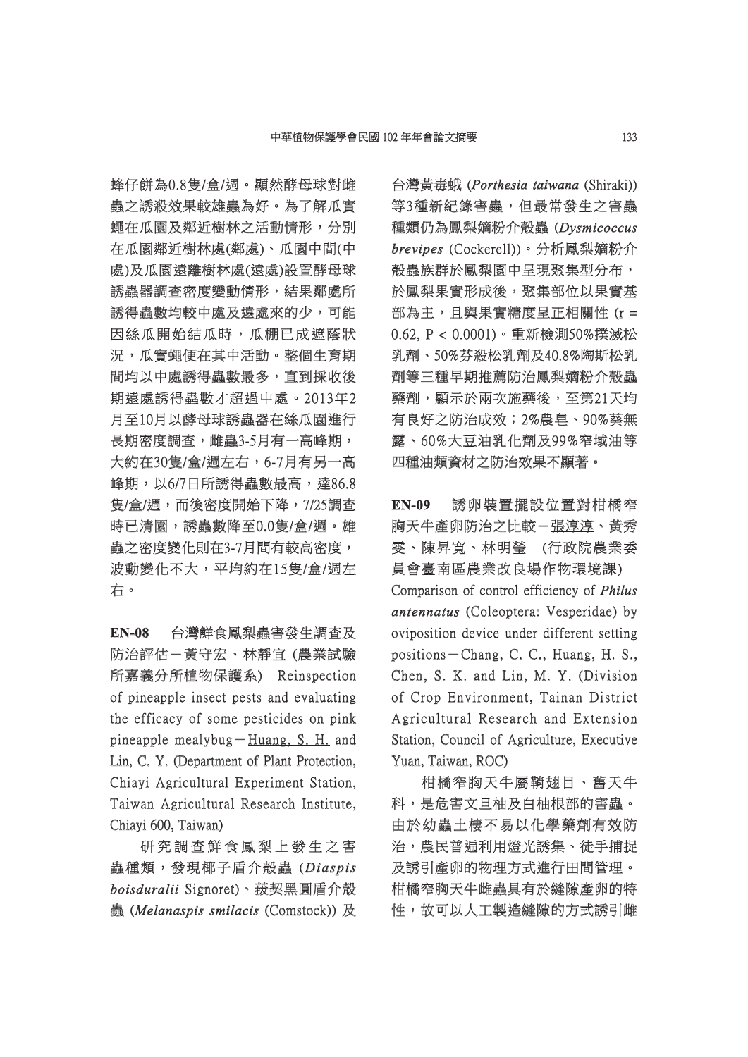蜂仔餅為0.8隻/盒/週。顯然酵母球對雌 蟲之誘殺效果較雄蟲為好。為了解瓜實 蠅在瓜園及鄰近樹林之活動情形,分別 在瓜園鄰近樹林處(鄰處)、瓜園中間(中 處)及瓜園遠離樹林處(遠處)設置酵母球 誘蟲器調査密度變動情形,結果鄰處所 誘得蟲數均較中處及遠處來的少,可能 因絲瓜開始結瓜時,瓜棚已成遮蔭狀 況,瓜實蠅便在其中活動。整個生育期 間均以中處誘得蟲數最多,直到採收後 期遠處誘得蟲數才超過中處。2013年2 月至10月以酵母球誘蟲器在絲瓜園進行 長期密度調查,雌蟲3-5月有一高峰期, 大約在30隻/盒/週左右,6-7月有另一高 峰期,以6/7日所誘得蟲數最高,達86.8 隻/盒/週,而後密度開始下降,7/25調查 時已清園,誘蟲數降至0.0隻/盒/週。雄 蟲之密度變化則在3-7月間有較高密度, 波動變化不大,平均約在15隻/盒/週左 右。

**EN-08** 台灣鮮食鳳梨蟲害發生調查及 防治評估-黃守宏、林靜宜 (農業試驗 所嘉義分所植物保護系) Reinspection of pineapple insect pests and evaluating f the efficacy of some pesticides on pink pineapple mealybug- $H$ uang, S. H. and Lin, C. Y. (Department of Plant Protection, Chiayi Agricultural Experiment Station, Taiwan Agricultural Research Institute, Chiayi 600, Taiwan)

研究調査鮮食鳳梨上發生之害 蟲種類,發現椰子盾介殼蟲 (Diaspis  $bo$ *isduralii* Signoret)、菝契黑圓盾介殼 蟲 (*Melanaspis smilacis* (Comstock)) 及 台灣黃毒蛾 (Porthesia taiwana (Shiraki)) 等3種新紀錄害蟲,但最常發生之害蟲 種類仍為鳳梨嫡粉介殼蟲 (Dysmicoccus  $b$ revipes (Cockerell))。分析鳳梨嫡粉介 **殼蟲族群於鳳梨園中呈現聚集型分布,** 於鳳梨果實形成後,聚集部位以果實基 部為主, 日與果實糖度呈正相關性 (r = 0.62, P < 0.0001)。重新檢測50%撲滅松 乳劑、50%芬殺松乳劑及40.8%陶斯松乳 劑等三種早期推薦防治鳳梨嫡粉介殼蟲 藥劑,顯示於兩次施藥後,至第21天均 有良好之防治成效;2%農皂、90%葵無 露、60%大豆油乳化劑及99%窄域油等 、60%大豆油乳化劑及99%窄域油等 四種油類資材之防治效果不顯著。

**EN-09** 誘卵裝置擺設位置對柑橘窄 胸天牛產卵防治之比較-張淳淳、黃秀 雯、陳昇寬、林明瑩 (行政院農業委 、陳昇寬、林明瑩 (行政院農業委 員會臺南區農業改良場作物環境課) Comparison of control efficiency of *Philus antennatus* (Coleoptera: Vesperidae) by oviposition device under different setting positions-Chang, C. C., Huang, H. S., Chen, S. K. and Lin, M. Y. (Division of Crop Environment, Tainan District Agricultural Research and Extension Station, Council of Agriculture, Executive Yuan, Taiwan, ROC)

柑橘窄胸天牛屬鞘翅目、舊天牛 科,是危害文旦柚及白柚根部的害蟲。 由於幼蟲土棲不易以化學藥劑有效防 治,農民普遍利用燈光誘集、徒手捕捉 及誘引產卵的物理方式進行田間管理。 柑橘窄胸天牛雌蟲具有於縫隙產卵的特 性,故可以人工製造縫隙的方式誘引雌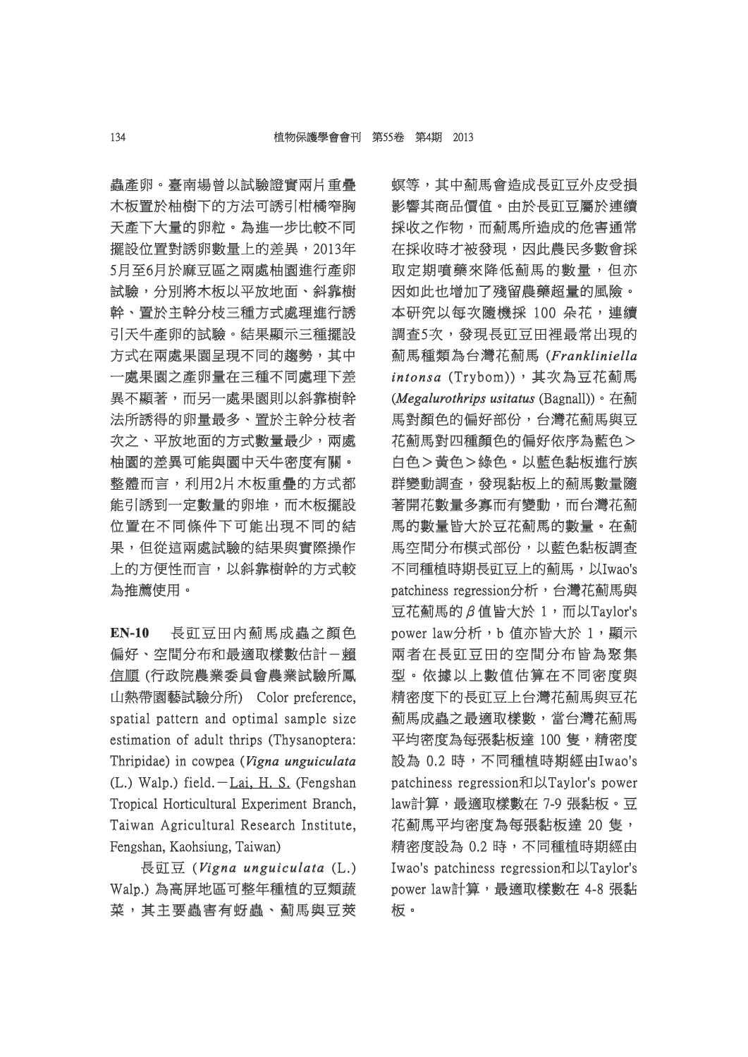蟲產卵。臺南場曾以試驗證實兩片重疊 木板置於柚樹下的方法可誘引柑橘窄胸 天產下大量的卵粒。為進一步比較不同 擺設位置對誘卵數量上的差異,2013年 5月至6月於麻豆區之兩處柚園進行產卵 試驗,分別將木板以平放地面、斜靠樹 幹、置於主幹分枝三種方式處理進行誘 、置於主幹分枝三種方式處理進行誘 引天牛產卵的試驗。結果顯示三種擺設 方式在兩處果園呈現不同的趨勢,其中 一處果園之產卵量在三種不同處理下差 異不顯著,而另一處果園則以斜靠樹幹 法所誘得的卵量最多、置於主幹分枝者 次之、平放地面的方式數量最少,兩處 柚園的差異可能與園中天牛密度有關。 整體而言,利用2片木板重疊的方式都 能引誘到一定數量的卵堆,而木板擺設 位置在不同條件下可能出現不同的結 果,但從這兩處試驗的結果與實際操作 上的方便性而言,以斜靠樹幹的方式較 為推薦使用。

**EN-10** 長豇豆田內薊馬成蟲之顏色 偏好、空間分布和最適取樣數估計一賴 信順(行政院農業委員會農業試驗所鳳 山熱帶園藝試驗分所) Color preference, 熱帶園藝試驗分所) Color preference, spatial pattern and optimal sample size estimation of adult thrips (Thysanoptera: Thripidae) in cowpea (Vigna unguiculata (L.) Walp.) field. $-Lai$ , H. S. (Fengshan Tropical Horticultural Experiment Branch, Taiwan Agricultural Research Institute, Fengshan, Kaohsiung, Taiwan)

長豇豆 (Vigna unguiculata (L.) Walp.)為高屏地區可整年種植的豆類蔬 菜,其主要蟲害有蚜蟲、薊馬與豆莢 螟等,其中薊馬會造成長豇豆外皮受損 影響其商品價值。由於長豇豆屬於連續 採收之作物,而薊馬所造成的危害通常 在採收時才被發現,因此農民多數會採 取定期噴藥來降低薊馬的數量,但亦 因如此也增加了殘留農藥超量的風險。 本研究以每次隨機採 100 朵花,連續 調查5次,發現長豇豆田裡最常出現的 薊馬種類為台灣花薊馬 ( 馬種類為台灣花薊馬 *Frankliniella rankliniella intonsa* (Trybom)),其次為豆花薊馬 (*Megalurothrips usitatus egalurothrips* (Bagnall))。在薊 馬對顏色的偏好部份,台灣花薊馬與豆 花薊馬對四種顏色的偏好依序為藍色> 白色>黃色>綠色。以藍色黏板進行族 群變動調查,發現黏板上的薊馬數量隨 著開花數量多寡而有變動,而台灣花薊 馬的數量皆大於豆花薊馬的數量。在薊 馬空間分布模式部份,以藍色黏板調查 不同種植時期長豇豆上的薊馬,以Iwao's patchiness regression分析,台灣花薊馬與 豆花薊馬的β值皆大於  $1$ , 而以Taylor's power law分析,b 值亦皆大於 1,顯示 兩者在長豇豆田的空間分布皆為聚集 型。依據以上數值估算在不同密度與 。依據以上數值估算在不同密度與 精密度下的長豇豆上台灣花薊馬與豆花 薊馬成蟲之最適取樣數,當台灣花薊馬 平均密度為每張黏板達 100 隻,精密度 設為 0.2 時,不同種植時期經由Iwao's patchiness regression和以Taylor's power law計算,最適取樣數在 7-9 張黏板。豆 花薊馬平均密度為每張黏板達 20隻, 精密度設為 0.2 時,不同種植時期經由 Iwao's patchiness regression和以Taylor's power law計算,最適取樣數在 4-8 張黏 板。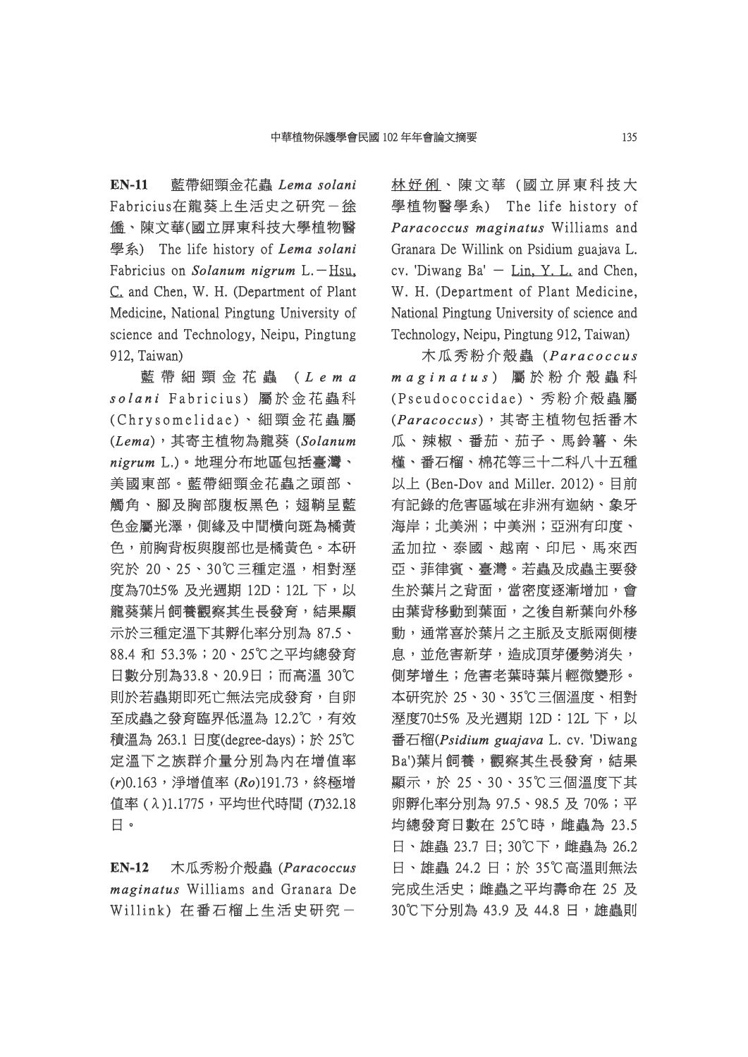**EN-11** 藍帶細頸金花蟲 *Lema solani ema*  Fabricius在龍葵上生活史之研究- 徐 僑、陳文華(國立屏東科技大學植物醫 學系) The life history of *Lema solani* Fabricius on *Solanum nigrum* L.-Hsu, C. and Chen, W. H. (Department of Plant Medicine, National Pingtung University of science and Technology, Neipu, Pingtung 912, Taiwan)

藍 帶 細 頸 金 花 蟲 (Lema solani Fabricius) 屬於金花蟲科 (Chrysomelidae)、細頸金花蟲屬 (*Lema*),其寄主植物為龍葵 ( ,其寄主植物為龍葵 *Solanum nigrum*L.)。地理分布地區包括臺灣、 美國東部。藍帶細頸金花蟲之頭部、 觸角、腳及胸部腹板黑色;翅鞘呈藍 色金屬光澤,側緣及中間橫向斑為橘黃 色,前胸背板與腹部也是橘黃色。本研 究於 20、25、30℃三種定溫,相對溼 度為70±5% 及光週期 12D: 12L 下, 以 龍葵葉片飼養觀察其生長發育,結果顯 示於三種定溫下其孵化率分別為 87.5、 88.4 和 53.3%;20、25℃之平均總發育 日數分別為33.8、20.9日;而高溫 30℃ 則於若蟲期即死亡無法完成發育,自卵 至成蟲之發育臨界低溫為 12.2℃,有效 積溫為 263.1 日度(degree-days);於 25℃ 定溫下之族群介量分別為內在增值率 (r)0.163,<sup>第增值率</sup> (Ro)191.73,終極增 值率 (λ)1.1775,平均世代時間 (T)32.18 日。

**EN-12** 木瓜秀粉介殼蟲 (Paracoccus *maginatus aginatus* Williams and Granara De Willink) 在番石榴上生活史研究-

林妤俐、陳文華(國立屏東科技大 學植物醫學系) The life history of *Paracoccus maginatus* Williams and Granara De Willink on Psidium guajava L. cv. 'Diwang Ba'  $-$  Lin, Y. L. and Chen, W. H. (Department of Plant Medicine, National Pingtung University of science and Technology, Neipu, Pingtung 912, Taiwan)

木瓜秀粉介殼蟲 (Paracoccus *maginatus a g i n a t u s*) 屬 於 粉 介 殼 蟲 科 屬 於 粉 介 殼 蟲 (Pseudococcidae)、秀粉介殻蟲屬 (*Paracoccus aracoc cus*),其寄主植物包括番木 ,其寄主植物包括番木 瓜、辣椒、番茄、茄子、馬鈴薯、朱 槿、番石榴、棉花等三十二科八十五種 、番石榴、棉花等三十二科八十五種 以上 (Ben-Dov and Miller. 2012)。目前 有記錄的危害區域在非洲有迦納、象牙 海岸;北美洲;中美洲;亞洲有印度、 孟加拉、泰國、越南、印尼、馬來西 亞、菲律賓、臺灣。若蟲及成蟲主要發 生於葉片之背面,當密度逐漸增加,會 由葉背移動到葉面,之後自新葉向外移 動,通常喜於葉片之主脈及支脈兩側棲 息,並危害新芽,造成頂芽優勢消失, 側芽增生;危害老葉時葉片輕微變形。 本研究於 25、30、35℃三個溫度、相對 溼度70±5% 及光週期 12D:12L 下,以 度70±5% 下,以 番石榴(Psidium guajava L. cv. 'Diwang Ba')葉片飼養,觀察其生長發育,結果 顯示,於 25、30、35℃三個溫度下其 卵孵化率分別為 97.5、98.5 及 70%;平 均總發育日數在 25℃時, 雌蟲為 23.5 日、雄蟲 23.7 日; 30℃下, 雌蟲為 26.2 日、雄蟲 24.2 日;於 35℃高溫則無法 完成生活史;雌蟲之平均壽命在 25 及 30℃下分別為 43.9 及 44.8 日,雄蟲則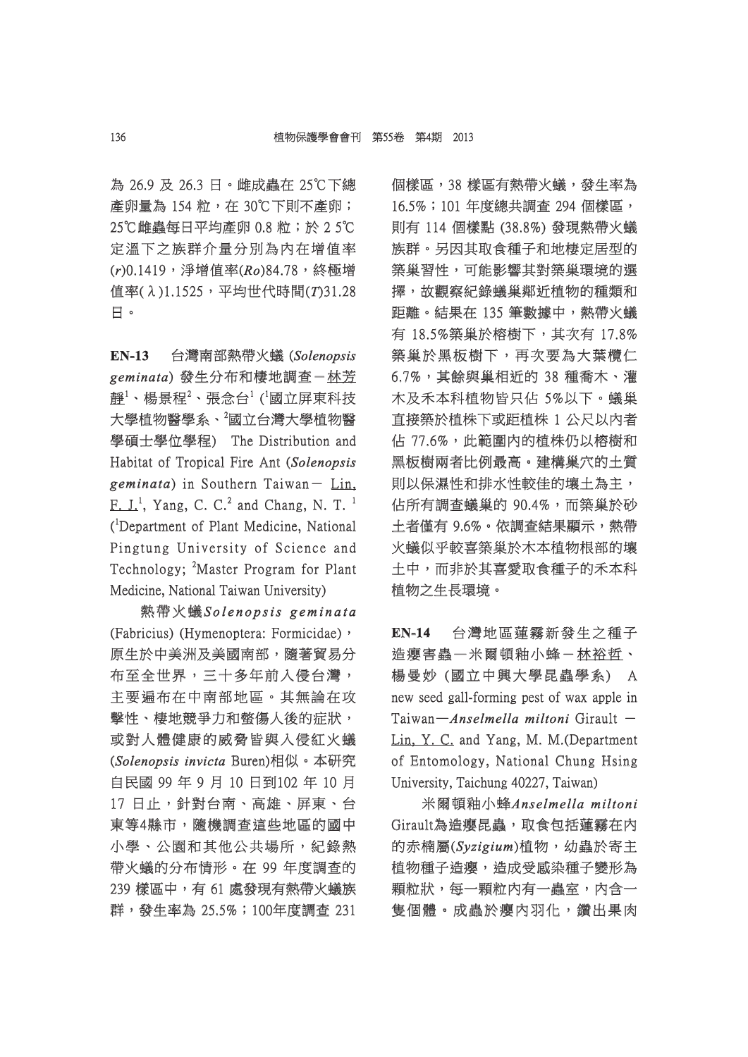為 26.9 及 26.3 日。雌成蟲在 25℃下總 25℃下總 產卵量為 154 粒,在 30℃下則不產卵; 25℃雌蟲每日平均產卵 0.8 粒;於 2 5℃ 定溫下之族群介量分別為內在增值率 (r)0.1419,淨增值率(Ro)84.78,終極增 值率(λ)1.1525,平均世代時間(T)31.28 日。

**EN-13** 台灣南部熱帶火蟻 ( *Solenopsis olenopsis*  geminata) 發生分布和棲地調查- 林芳 證 $^{1}$ 、楊景程 $^{2}$ 、張念台 $^{1}$  ( $^{1}$ 國立屏東科技 大學植物醫學系、<sup>2</sup>國立台灣大學植物醫 學碩士學位學程) The Distribution and Habitat of Tropical Fire Ant *(Solenopsis geminata eminata*) in Southern Taiwan- Lin, F.  $J^1$ , Yang, C. C.<sup>2</sup> and Chang, N. T.<sup>1</sup> (<sup>1</sup>Department of Plant Medicine, National Pingtung University of Science and Technology; <sup>2</sup>Master Program for Plant Medicine, National Taiwan University)

熱帶火蟻*Solenopsis geminata o l e n o p sis g e m i n a t a* (Fabricius) (Hymenoptera: Formicidae), 原生於中美洲及美國南部,隨著貿易分 布至全世界,三十多年前入侵台灣, 主要遍布在中南部地區。其無論在攻 擊性、棲地競爭力和螫傷人後的症狀, 或對人體健康的威脅皆與入侵紅火蟻 (*Solenopsis invicta* Buren)相似。本研究 自民國 99 年 9 月 10 日到102 年 10 月 民國 10 17 日止,針對台南、高雄、屏東、台 東等4縣市,隨機調查這些地區的國中 小學、公園和其他公共場所,紀錄熱 帶火蟻的分布情形。在 99 年度調查的 239 樣區中,有 61 處發現有熱帶火蟻族 群,發生率為 25.5%;100年度調査 231 個樣區,38 樣區有熱帶火蟻,發生率為 16.5%;101年度總共調查 294個樣區, 則有 114 個樣點 (38.8%) 發現熱帶火蟻 族群。另因其取食種子和地棲定居型的 築巢習性,可能影響其對築巢環境的選 巢習性,可能影響其對築巢環境的選 擇,故觀察紀錄蟻巢鄰近植物的種類和 距離。結果在 135 筆數據中,熱帶火蟻 有 18.5%築巢於榕樹下,其次有 17.8% 17.8% 築巢於黑板樹下,再次要為大葉欖仁 6.7%,其餘與巢相近的 38 種喬木、灌 木及禾本科植物皆只佔 5%以下。蟻巢 直接築於植株下或距植株 1 公尺以内者 佔 77.6%,此範圍內的植株仍以榕樹和 黑板樹兩者比例最高。建構巢穴的土質 則以保濕性和排水性較佳的壤土為主, 佔所有調查蟻巢的 90.4%,而築巢於砂 土者僅有 9.6%。依調查結果顯示,熱帶 火蟻似乎較喜築巢於木本植物根部的壤 土中,而非於其喜愛取食種子的禾本科 植物之生長環境。

**EN-14** 台灣地區蓮霧新發生之種子 造癭害蟲一米爾頓釉小蜂-林裕哲、 楊曼妙 (國立中興大學昆蟲學系) A new seed gall-forming pest of wax apple in Taiwan—*Anselmella miltoni* Girault -Lin, Y. C. and Yang, M. M.(Department of Entomology, National Chung Hsing University, Taichung 40227, Taiwan)

米爾頓釉小蜂*Anselmella miltoni nselmella*  Girault為造癭昆蟲,取食包括蓮霧在内 的赤楠屬(*Syzigium yzigium*)植物,幼蟲於寄主 植物,幼蟲於寄主 植物種子造癭,造成受感染種子變形為 顆粒狀,每一顆粒內有一蟲室,内含一 隻個體。成蟲於癭內羽化,鑽出果肉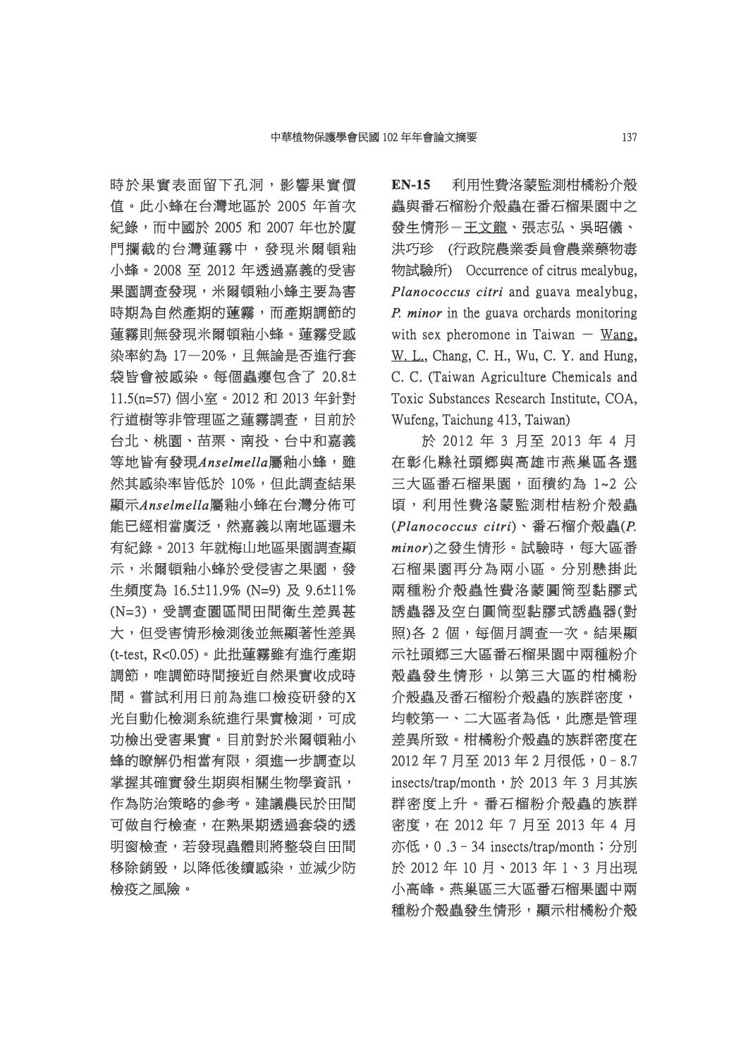時於果實表面留下孔洞,影響果實價 值。此小蜂在台灣地區於 2005 年首次 。此小蜂在台灣地區於 紀錄,而中國於 2005 和 2007 年也於廈 門攔截的台灣蓮霧中,發現米爾頓釉 小蜂。2008 至 2012 年透過嘉義的受害 果園調查發現,米爾頓釉小蜂主要為害 時期為自然產期的蓮霧,而產期調節的 蓮霧則無發現米爾頓釉小蜂。蓮霧受感 染率約為 17-20%,且無論是否進行套 袋皆會被感染。每個蟲癭包含了 20.8± 11.5(n=57) 個小室。2012 和 2013 年針對 1.5(n=57) 行道樹等非管理區之蓮霧調查,目前於 台北、桃園、苗栗、南投、台中和嘉義 北、桃園、苗栗、南投、台中和嘉義 等地皆有發現Anselmella屬釉小蜂,雖 然其感染率皆低於 10%,但此調查結果 顯示*Anselmella nselmella*屬釉小蜂在台灣分佈可 釉小蜂在台灣分佈可 能已經相當廣泛,然嘉義以南地區還未 有紀錄。2013年就梅山地區果園調査顯 示,米爾頓釉小蜂於受侵害之果園,發 生頻度為 16.5±11.9% (N=9) 及 9.6±11% (N=3),受調查園區間田間衛生差異甚 N=3),受調查園區間田間衛生差異甚 大,但受害情形檢測後並無顯著性差異 (t-test, R<0.05) · 此批蓮霧雖有進行產期 調節,唯調節時間接近自然果實收成時 間。嘗試利用日前為進口檢疫研發的X 。嘗試利用日前為進口檢疫研發的X 光自動化檢測系統進行果實檢測,可成 功檢出受害果實。目前對於米爾頓釉小 蜂的瞭解仍相當有限,須進一步調查以 掌握其確實發生期與相關生物學資訊, 作為防治策略的參考。建議農民於田間 可做自行檢查,在熟果期透過套袋的透 明窗檢查,若發現蟲體則將整袋自田間 移除銷毀,以降低後續感染,並減少防 檢疫之風險。

**EN-15** 利用性費洛蒙監測柑橘粉介殼 蟲與番石榴粉介殼蟲在番石榴果園中之 發生情形-王文龍、張志弘、吳昭儀、 洪巧珍 (行政院農業委員會農業藥物毒 物試驗所) Occurrence of citrus mealybug, *Planococcus citri* and guava mealybug, *P. minor* in the guava orchards monitoring with sex pheromone in Taiwan  $-$  Wang, W. L., Chang, C. H., Wu, C. Y. and Hung, C. C. (Taiwan Agriculture Chemicals and Toxic Substances Research Institute, COA, Wufeng, Taichung 413, Taiwan)

於 2012年3月至 2013年4月 在彰化縣社頭鄉與高雄市燕巢區各選 三大區番石榴果園,面積約為 1~2 公 頃,利用性費洛蒙監測柑桔粉介殼蟲 ,利用性費洛蒙監測柑桔粉介殼蟲 (Planococcus citri)、番石榴介殼蟲(P. *minor*)之發生情形。試驗時,每大區番 之發生情形。試驗時,每大區番 石榴果園再分為兩小區。分別懸掛此 兩種粉介殼蟲性費洛蒙圓筒型黏膠式 誘蟲器及空白圓筒型黏膠式誘蟲器(對 照)各 2 個,每個月調查一次。結果顯 示社頭鄉三大區番石榴果園中兩種粉介 殼蟲發生情形,以第三大區的柑橘粉 介殼蟲及番石榴粉介殼蟲的族群密度, 均較第一、二大區者為低,此應是管理 差異所致。柑橘粉介殼蟲的族群密度在 2012年7月至2013年2月很低,0-8.7 insects/trap/month, 於 2013 年 3 月其族 群密度上升。番石榴粉介殼蟲的族群 密度,在 2012年7月至 2013年4月 亦低,0.3-34 insects/trap/month;分別 於 2012年10月、2013年1、3月出現 小高峰。燕巢區三大區番石榴果園中兩 種粉介殼蟲發生情形,顯示柑橘粉介殼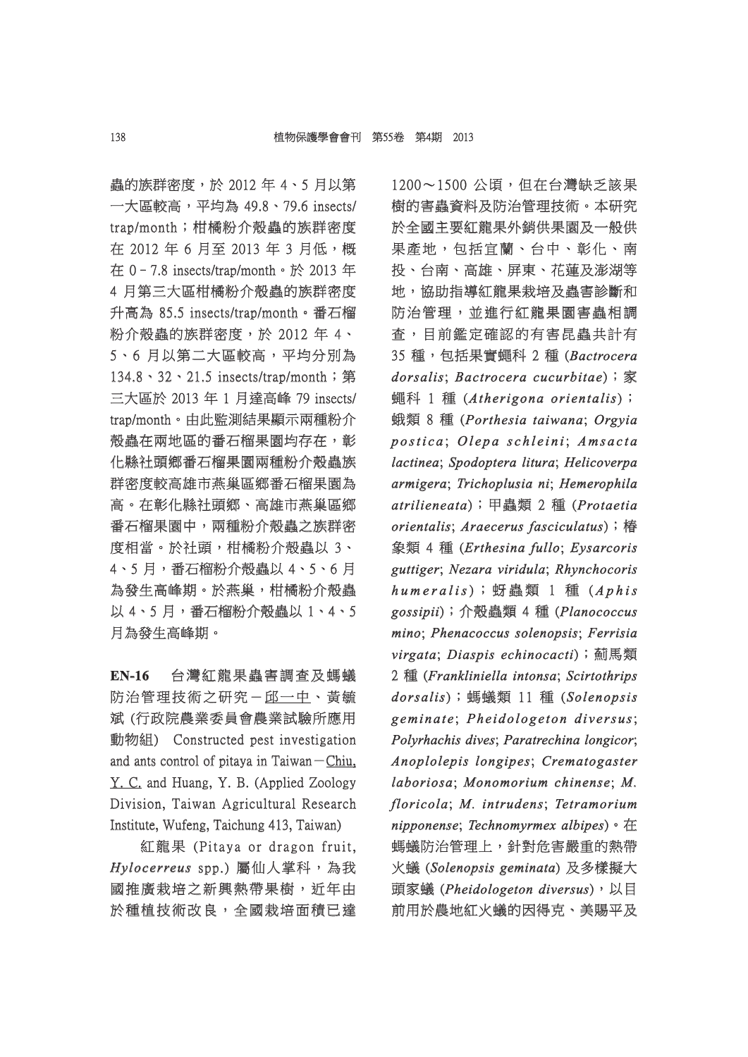蟲的族群密度,於 2012年 4、5 月以第 一大區較高,平均為 49.8、79.6 insects/ trap/month;柑橘粉介殼蟲的族群密度 在 2012年6月至 2013年3月低,概 在 0–7.8 insects/trap/month。於 2013 年 4 月第三大區柑橘粉介殼蟲的族群密度 升高為 85.5 insects/trap/month。番石榴 粉介殼蟲的族群密度,於 2012年4、 5、6月以第二大區較高,平均分別為 134.8、32、21.5 insects/trap/month; 第  $\equiv$ 大區於 2013 年 1 月達高峰 79 insects/ trap/month。由此監測結果顯示兩種粉介 殼蟲在兩地區的番石榴果園均存在,彰 化縣社頭鄉番石榴果園兩種粉介殼蟲族 群密度較高雄市燕巢區鄉番石榴果園為 高。在彰化縣社頭鄉、高雄市燕巢區鄉 番石榴果園中,兩種粉介殼蟲之族群密 度相當。於社頭,柑橘粉介殼蟲以 3、 4、5 月,番石榴粉介殻蟲以 4、5、6 月 為發生高峰期。於燕巢,柑橘粉介殼蟲 以 4、5 月,番石榴粉介殼蟲以 1、4、5 月為發生高峰期。

**EN-16** 台灣紅龍果蟲害調查及螞蟻 防治管理技術之研究- 邱一中、黃毓 斌 (行政院農業委員會農業試驗所應用 動物組) Constructed pest investigation and ants control of pitaya in Taiwan $-\text{Chiu}$ , Y. C. and Huang, Y. B. (Applied Zoology Division, Taiwan Agricultural Research Institute, Wufeng, Taichung 413, Taiwan)

紅龍果 (Pitaya or dragon fruit, *Hylocerreus ylocerreus*spp.) 屬仙人掌科,為我 國推廣栽培之新興熱帶果樹,近年由 於種植技術改良,全國栽培面積已達

 $1200 \sim 1500$  公頃,但在台灣缺乏該果 樹的害蟲資料及防治管理技術。本研究 於全國主要紅龍果外銷供果園及一般供 果產地,包括宜蘭、台中、彰化、南 投、台南、高雄、屏東、花蓮及澎湖等 地,協助指導紅龍果栽培及蟲害診斷和 防治管理,並進行紅龍果園害蟲相調 查,目前鑑定確認的有害昆蟲共計有 35 種,包括果實蠅科 2 種 ( 5 *Bactrocera actrocera dorsalis orsalis*; *Bactrocera cucurbitae actrocera* );家 **蠅科 1 種 (Atherigona orientalis);**  $\frac{1}{2}$  8 種 (Porthesia taiwana; Orgyia *postica* ; *Olepa schleini l e p a s c h l e i n i*; *Amsacta*   $lactinea; Spodoptera litura; Helicoverpa$ *armigera rmigera*; *Trichoplusia ni richoplusia* ; *Hemerophila emerophila*   $artilieneata)$ ; 甲蟲類 2 種 (Protaetia *orientalis rientalis*; *Araecerus fasciculatus raecerus* );椿  $$$  繁類 4 種 (Erthesina fullo; Eysarcoris  $guttinger$ ; *Nezara viridula*; *Rhynchocoris*  $h$ *umeralis*);蚜蟲類 1 種 (Aphis  $gossipi)$ ; 介殼蟲類 4 種 (Planococcus *mino*; *Phenacoccus solenopsis*; *Ferrisia virgata*; *Diaspis echinocacti iaspis* );薊馬類 2 種 (*Frankliniella intonsa rankliniella* ; *Scirtothrips cirtothrips*   $dorsalis$ ); 螞蟻類 11 種 (Solenopsis *geminate eminat e*; *Pheidologeton diversus he idologe ton di v e rsus*; *Polyrhachis dives*; *Paratrechina longicor*; *Anoplolepis longipes*; *Crematogaster*  $laboriosa; Monomorium Chinese; M.$ *floricola*; *M. intrudens*; *Tetramorium nipponense ipponense*; *Technomyrmex albipes echnomyrmex* )。在 螞蟻防治管理上,針對危害嚴重的熱帶 火蟻 (*Solenopsis geminata olenopsis* ) 及多樣擬大 頭家蟻 (*Pheidologeton diversus heidologeton* ),以目 前用於農地紅火蟻的因得克、美賜平及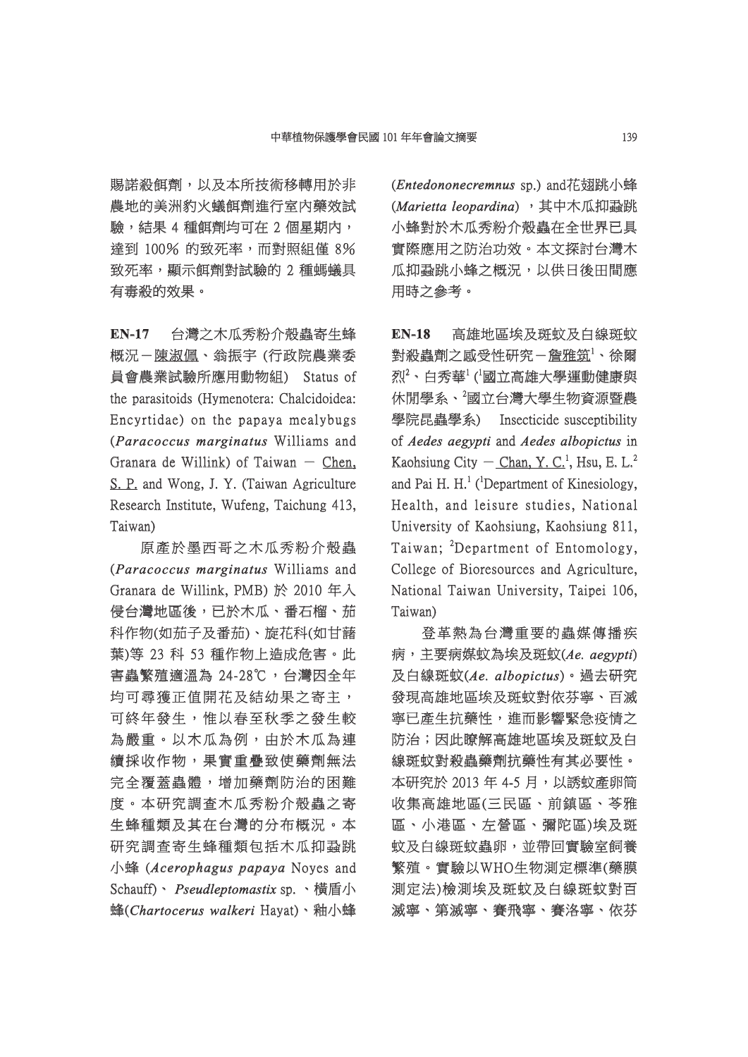賜諾殺餌劑,以及本所技術移轉用於非 農地的美洲豹火蟻餌劑進行室內藥效試 驗,結果 4 種餌劑均可在 2 個星期內, 達到 100% 的致死率,而對照組僅 8% 致死率,顯示餌劑對試驗的 2 種螞蟻具 有毒殺的效果。

**EN-17** 台灣之木瓜秀粉介殼蟲寄生蜂 概況-陳淑佩、翁振宇 (行政院農業委 員會農業試驗所應用動物組) Status of 會農業試驗所應用動物組) Status the parasitoids (Hymenotera: Chalcidoidea: Encyrtidae) on the papaya mealybugs (*Paracoccus marginatus aracoccus*  Williams and Granara de Willink) of Taiwan  $-$  Chen, S. P. and Wong, J. Y. (Taiwan Agriculture Research Institute, Wufeng, Taichung 413, Taiwan)

原產於墨西哥之木瓜秀粉介殼蟲 (*Paracoccus marginatus aracoccus*  Williams and Granara de Willink, PMB)於 2010年入 侵台灣地區後,已於木瓜、番石榴、茄 科作物(如茄子及番茄)、旋花科(如甘藷 葉)等 23 科 53 種作物上造成危害。此 害蟲繁殖適溫為 24-28℃,台灣因全年 均可尋獲正值開花及結幼果之寄主, 可終年發生,惟以春至秋季之發生較 為嚴重。以木瓜為例,由於木瓜為連 續採收作物,果實重疊致使藥劑無法 完全覆蓋蟲體,增加藥劑防治的困難 度。本研究調査木瓜秀粉介殼蟲之寄 生蜂種類及其在台灣的分布概況。本 研究調查寄生蜂種類包括木瓜抑蝨跳 小蜂 (*Acerophagus papaya* Noyes and Schauff)、 *Pseudleptomastix* sp. 、横盾小 蜂(Chartocerus walkeri Hayat)、釉小蜂 (*Entedononecremnus* sp.) and花翅跳小蜂 (Marietta leopardina),其中木瓜抑蝨跳 小蜂對於木瓜秀粉介殼蟲在全世界已具 實際應用之防治功效。本文探討台灣木 瓜抑蝨跳小蜂之概況,以供日後田間應 用時之參考。

**EN-18** 高雄地區埃及斑蚊及白線斑蚊 對殺蟲劑之感受性研究-詹雅筑<sup>1</sup>、徐爾 烈<sup>2</sup>、白秀華<sup>1</sup>(<sup>1</sup>國立高雄大學運動健康與 休閒學系、2國立台灣大學生物資源暨農 學院昆蟲學系) Insecticide susceptibility of *Aedes aegypti* and *Aedes albopictus* in Kaohsiung City  $-$  Chan, Y. C.<sup>1</sup>, Hsu, E. L.<sup>2</sup> and Pai H.  $H<sup>1</sup>$  (<sup>1</sup>Department of Kinesiology, Health, and leisure studies, National University of Kaohsiung, Kaohsiung 811, Taiwan; <sup>2</sup>Department of Entomology, College of Bioresources and Agriculture, National Taiwan University, Taipei 106, Taiwan)

登革熱為台灣重要的蟲媒傳播疾 病,主要病媒蚊為埃及斑蚊(Ae. aegypti) 及白線斑蚊(*Ae. albopictus e.* )。過去研究 發現高雄地區埃及斑蚊對依芬寧、百滅 寧已產生抗藥性,進而影響緊急疫情之 防治;因此瞭解高雄地區埃及斑蚊及白 線斑蚊對殺蟲藥劑抗藥性有其必要性。 本研究於 2013 年 4-5 月, 以誘蚊產卵筒 收集高雄地區(三民區、前鎮區、苓雅 區、小港區、左營區、彌陀區)埃及斑 、小港區、左營區、彌陀區)埃及斑 蚊及白線斑蚊蟲卵,並帶回實驗室飼養 繁殖。實驗以WHO生物測定標準(藥膜 殖。實驗以WHO生物測定標準(藥膜 測定法)檢測埃及斑蚊及白線斑蚊對百 滅寧、第滅寧、賽飛寧、賽洛寧、依芬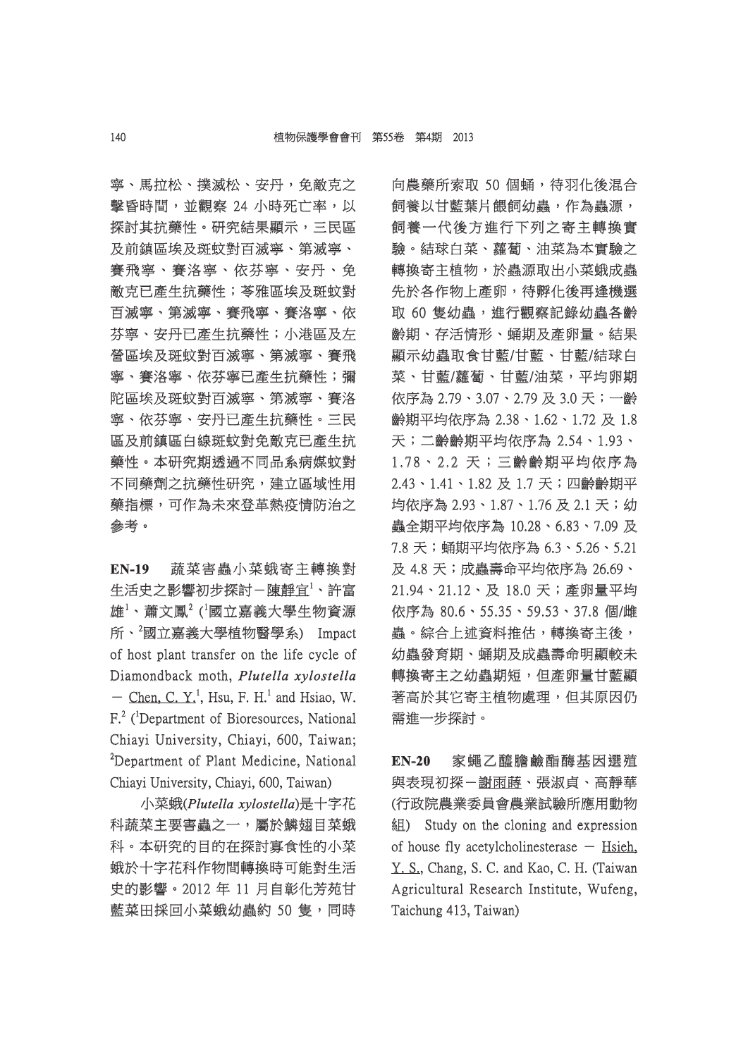寧、馬拉松、撲滅松、安丹,免敵克之 擊昏時間,並觀察 24 小時死亡率,以 探討其抗藥性。研究結果顯示,三民區 及前鎮區埃及斑蚊對百滅寧、第滅寧、 賽飛寧、賽洛寧、依芬寧、安丹、免 敵克已產生抗藥性;苓雅區埃及斑蚊對 百滅寧、第滅寧、賽飛寧、賽洛寧、依 芬寧、安丹已產生抗藥性;小港區及左 營區埃及斑蚊對百滅寧、第滅寧、賽飛 寧、賽洛寧、依芬寧已產生抗藥性;彌 陀區埃及斑蚊對百滅寧、第滅寧、賽洛 寧、依芬寧、安丹已產生抗藥性。三民 區及前鎮區白線斑蚊對免敵克已產生抗 藥性。本研究期透過不同品系病媒蚊對 不同藥劑之抗藥性研究,建立區域性用 藥指標,可作為未來登革熱疫情防治之 參考。

**EN-19** 蔬菜害蟲小菜蛾寄主轉換對 生活史之影響初步探討-陳靜宜<sup>1</sup>、許富 雄 $^1$ 、蕭文鳳 $^2$  ( $^1$ 國立嘉義大學生物資源 所、<sup>2</sup>國立嘉義大學植物醫學系) Impact of host plant transfer on the life cycle of Diamondback moth, *Plutella xylostella*  $-$  Chen, C. Y.<sup>1</sup>, Hsu, F. H.<sup>1</sup> and Hsiao, W. F.<sup>2</sup> (<sup>1</sup>Department of Bioresources, National Chiayi University, Chiayi, 600, Taiwan;  ${}^{2}$ Department of Plant Medicine, National Chiayi University, Chiayi, 600, Taiwan)

小菜蛾(Plutella xylostella)是十字花 科蔬菜主要害蟲之一,屬於鱗翅目菜蛾 科。本研究的目的在探討寡食性的小菜 蛾於十字花科作物間轉換時可能對生活 史的影響。2012年11月自彰化芳苑甘 藍菜田採回小菜蛾幼蟲約 50 隻,同時 向農藥所索取 50 個蛹,待羽化後混合 飼養以甘藍葉片餵飼幼蟲,作為蟲源, 飼養一代後方進行下列之寄主轉換實 驗。結球白菜、蘿蔔、油菜為本實驗之 。結球白菜、蘿蔔、油菜為本實驗之 轉換寄主植物,於蟲源取出小菜蛾成蟲 先於各作物上產卵,待孵化後再逢機選 取 60 隻幼蟲,進行觀察記錄幼蟲各齡 齢期、存活情形、蛹期及產卵量。結果 顯示幼蟲取食甘藍/甘藍、甘藍/結球白 菜、甘藍/蘿蔔、甘藍/油菜,平均卵期 依序為 2.79、3.07、2.79 及 3.0 天;一齡 序為 齡期平均依序為 2.38、1.62、1.72 及 1.8 天;二齡齡期平均依序為 2.54、1.93、 ;二齡齡期平均依序為 1.78、2.2 天;三齡齡期平均依序為 . 7 8、2 . 2 2.43、1.41、1.82 及 1.7 天;四齡齡期平 均依序為 2.93、1.87、1.76 及 2.1 天;幼 依序為 蟲全期平均依序為 10.28、6.83、7.09 及 7.8 天;蛹期平均依序為 6.3、5.26、5.21 .8 及 4.8 天;成蟲壽命平均依序為 26.69、 26.69、 21.94、21.12、及 18.0 天;產卵量平均 1.94、21.12、及 依序為 80.6、55.35、59.53、37.8 個/雌 蟲。綜合上述資料推估,轉換寄主後, 幼蟲發育期、蛹期及成蟲壽命明顯較未 轉換寄主之幼蟲期短,但產卵量甘藍顯 著高於其它寄主植物處理,但其原因仍 需進一步探討。

**EN-20** 家蠅乙醯膽鹼酯酶基因選殖 與表現初探-謝雨蒔、張淑貞、高靜華 (行政院農業委員會農業試驗所應用動物 行政院農業委員會農業試驗所應用動物 組) Study on the cloning and expression of house fly acetylcholinesterase  $-$  Hsieh, Y. S., Chang, S. C. and Kao, C. H. (Taiwan Agricultural Research Institute, Wufeng, Taichung 413, Taiwan)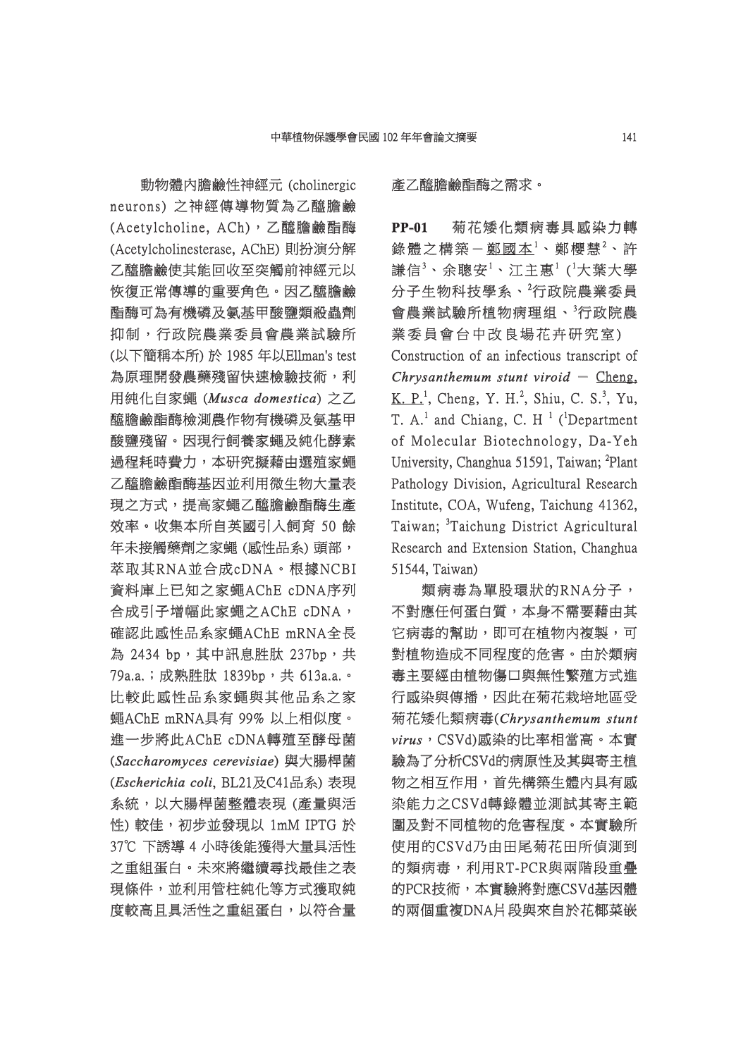動物體內膽鹼性神經元 (cholinergic 物體內膽鹼性神經元 neurons) 之神經傳導物質為乙醯膽鹼 (Acetylcholine, ACh),乙醯膽鹼酯酶 (Acetylcholinesterase, AChE) 則扮演分解 乙醯膽鹼使其能回收至突觸前神經元以 恢復正常傳導的重要角色。因乙醯膽鹼 酯酶可為有機磷及氨基甲酸鹽類殺蟲劑 抑制,行政院農業委員會農業試驗所 (以下簡稱本所)於 1985 年以Ellman's test 為原理開發農藥殘留快速檢驗技術,利 **用純化自家蠅 (Musca domestica) 之乙** 醯膽膽鹼酯酶檢測農作物有機磷及氨基甲 酸鹽殘留。因現行飼養家蠅及純化酵素 過程耗時費力,本研究擬藉由選殖家蠅 乙醯膽鹼酯酶基因並利用微生物大量表 現之方式,提高家蠅乙醯膽鹼酯酶生產 效率。收集本所自英國引入飼育 50 餘 年未接觸藥劑之家蠅 (感性品系) 頭部, 萃取其RNA並合成cDNA。根據NCBI 取其RNA並合成cDNA。根據NCBI 資料庫上已知之家蠅AChE cDNA序列 合成引子增幅此家蠅之AChE cDNA, 確認此感性品系家蠅AChE mRNA全長 為 2434 bp, 其中訊息胜肽 237bp,共 79a.a.;成熟胜肽 1839bp,共 613a.a.。 比較此感性品系家蠅與其他品系之家 蠅AChE mRNA具有 99% 以上相似度。 進一步將此AChE cDNA轉殖至酵母菌 (*Saccharomyces cerevisiae accharomyces* ) 與大腸桿菌 (*Escherichia coli scherichia* , BL21及C41品系) 表現 表現 系統,以大腸桿菌整體表現 (產量與活 性) 較佳,初步並發現以 1mM IPTG 於 ) 37℃ 下誘導 4 小時後能獲得大量具活性 之重組蛋白。未來將繼續尋找最佳之表 現條件,並利用管柱純化等方式獲取純 度較高且具活性之重組蛋白,以符合量 產乙醯膽鹼酯酶之需求。

**PP-01** 菊花矮化類病毒具感染力轉 錄體之構築-<u>鄭國本<sup>1</sup>、鄭櫻慧<sup>2</sup>、許</u> 謙信 $^3$ 、余聰安 $^1$ 、江主惠 $^1$  ( $^1$ 大葉大學 分子生物科技學系、<sup>2</sup>行政院農業委員 會農業試驗所植物病理组、3行政院農 業委員會台中改良場花卉研究室) Construction of an infectious transcript of *Chrysanthemum stunt viroid* – Cheng, K. P.<sup>1</sup>, Cheng, Y. H.<sup>2</sup>, Shiu, C. S.<sup>3</sup>, Yu, T.  $A<sup>1</sup>$  and Chiang, C. H<sup>1</sup> (<sup>1</sup>Department of Molecular Biotechnology, Da-Yeh University, Changhua 51591, Taiwan; <sup>2</sup>Plant Pathology Division, Agricultural Research Institute, COA, Wufeng, Taichung 41362, Taiwan; <sup>3</sup>Taichung District Agricultural Research and Extension Station, Changhua 51544, Taiwan)

類病毒為單股環狀的RNA分子, 不對應任何蛋白質,本身不需要藉由其 它病毒的幫助,即可在植物內複製,可 對植物造成不同程度的危害。由於類病 毒主要經由植物傷口與無性繁殖方式進 行感染與傳播,因此在菊花栽培地區受 菊花矮化類病毒( 花矮化類病毒(*Chrysanthemum stunt hrysanthemum*   $virus$ , CSVd)感染的比率相當高。本實 験為了分析CSVd的病原性及其與寄主植 物之相互作用,首先構築生體內具有感 染能力之CSVd轉錄體並測試其寄主範 能力之CSVd轉錄體並測試其寄主範 圍及對不同植物的危害程度。本實驗所 使用的CSVd乃由田尾菊花田所偵測到 的類病毒,利用RT-PCR與兩階段重疊 的PCR技術,本實驗將對應CSVd基因體 的兩個重複DNA片段與來自於花椰菜嵌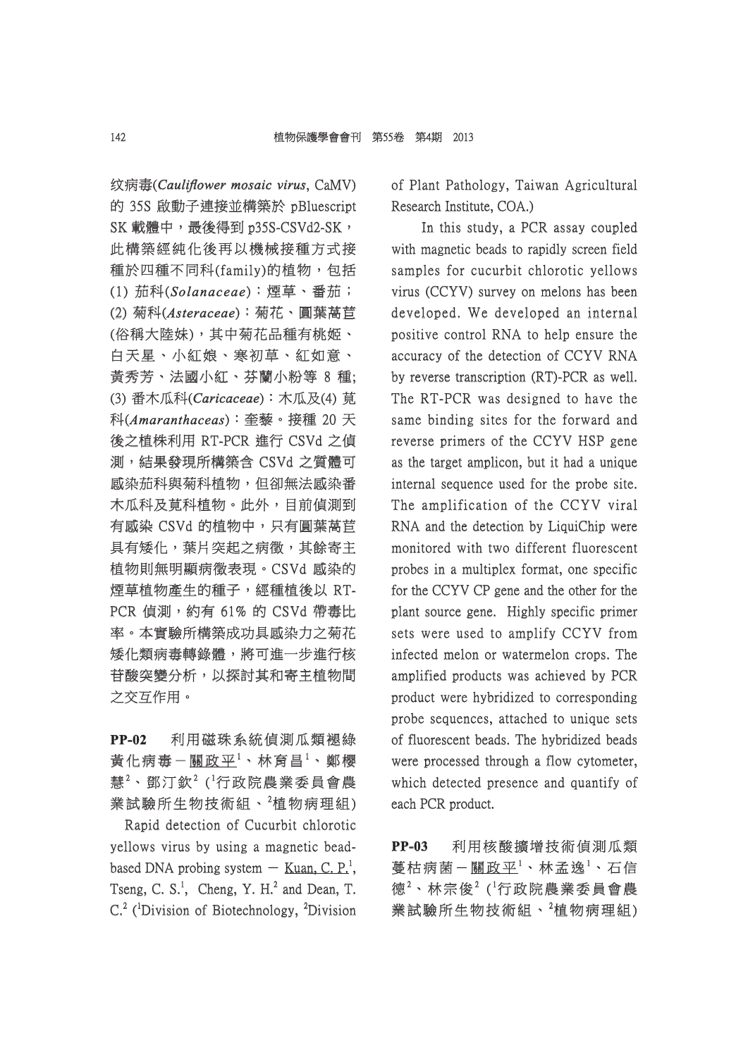纹病毒(Cauliflower mosaic virus, CaMV) 的 35S 啟動子連接並構築於 pBluescript SK 載體中,最後得到 p35S-CSVd2-SK, 此構築經純化後再以機械接種方式接 種於四種不同科(family)的植物,包括 (1) 茄科(*Solanaceae olanaceae*):煙草、番茄; :煙草、番茄; (2) 菊科(*Asteraceae steraceae*):菊花、圓葉萵苣 :菊花、圓葉萵苣 (俗稱大陸妹),其中菊花品種有桃姬、 白天星、小紅娘、寒初草、紅如意、 黃秀芳、法國小紅、芬蘭小粉等 8 種; (3) 番木瓜科(Caricaceae): 木瓜及(4) 莧 科(*Amaranthaceas maranthaceas*):奎藜。接種 20 天 :奎藜。接種 後之植株利用 RT-PCR 進行 CSVd 之偵 之植株利用 測,結果發現所構築含 CSVd 之質體可 感染茄科與菊科植物,但卻無法感染番 木瓜科及莧科植物。此外,目前偵測到 有感染 CSVd 的植物中,只有圓葉萵苣 具有矮化,葉片突起之病徵,其餘寄主 植物則無明顯病徵表現。CSVd 感染的 煙草植物產生的種子,經種植後以 RT-PCR 偵測, 約有 61% 的 CSVd 帶毒比 率。本實驗所構築成功具感染力之菊花 矮化類病毒轉錄體,將可進一步進行核 苷酸突變分析,以探討其和寄主植物間 之交互作用。

## **PP-02** 利用磁珠系統偵測瓜類褪綠 黄化病毒-<u>關政平<sup>1</sup>、林育昌<sup>1</sup>、鄭櫻</u> 慧 $^2$ 、鄧汀欽 $^2$  ('行政院農業委員會農 業試驗所生物技術組、<sup>2</sup>植物病理組)

Rapid detection of Cucurbit chlorotic yellows virus by using a magnetic beadbased DNA probing system  $-$  Kuan, C. P.<sup>1</sup>, Tseng, C. S.<sup>1</sup>, Cheng, Y. H.<sup>2</sup> and Dean, T.  $C<sup>2</sup>$  (<sup>1</sup>Division of Biotechnology, <sup>2</sup>Division of Plant Pathology, Taiwan Agricultural Research Institute, COA.)

In this study, a PCR assay coupled with magnetic beads to rapidly screen field samples for cucurbit chlorotic yellows virus (CCYV) survey on melons has been developed. We developed an internal positive control RNA to help ensure the accuracy of the detection of CCYV RNA by reverse transcription (RT)-PCR as well. The RT-PCR was designed to have the same binding sites for the forward and reverse primers of the CCYV HSP gene as the target amplicon, but it had a unique internal sequence used for the probe site. The amplification of the CCYV viral RNA and the detection by LiquiChip were monitored with two different fluorescent probes in a multiplex format, one specific for the CCYV CP gene and the other for the plant source gene. Highly specific primer sets were used to amplify CCYV from infected melon or watermelon crops. The amplified products was achieved by PCR product were hybridized to corresponding probe sequences, attached to unique sets of fluorescent beads. The hybridized beads were processed through a flow cytometer, which detected presence and quantify of each PCR product.

**PP-03** 利用核酸擴增技術偵測瓜類 蔓枯病菌-<u>關政平<sup>1</sup>、林孟逸<sup>1</sup>、石信</u> 德 $2 \cdot \text{tr} \mathcal{R}^2$  ( $^1$ 行政院農業委員會農 業試驗所生物技術組、<sup>2</sup>植物病理組)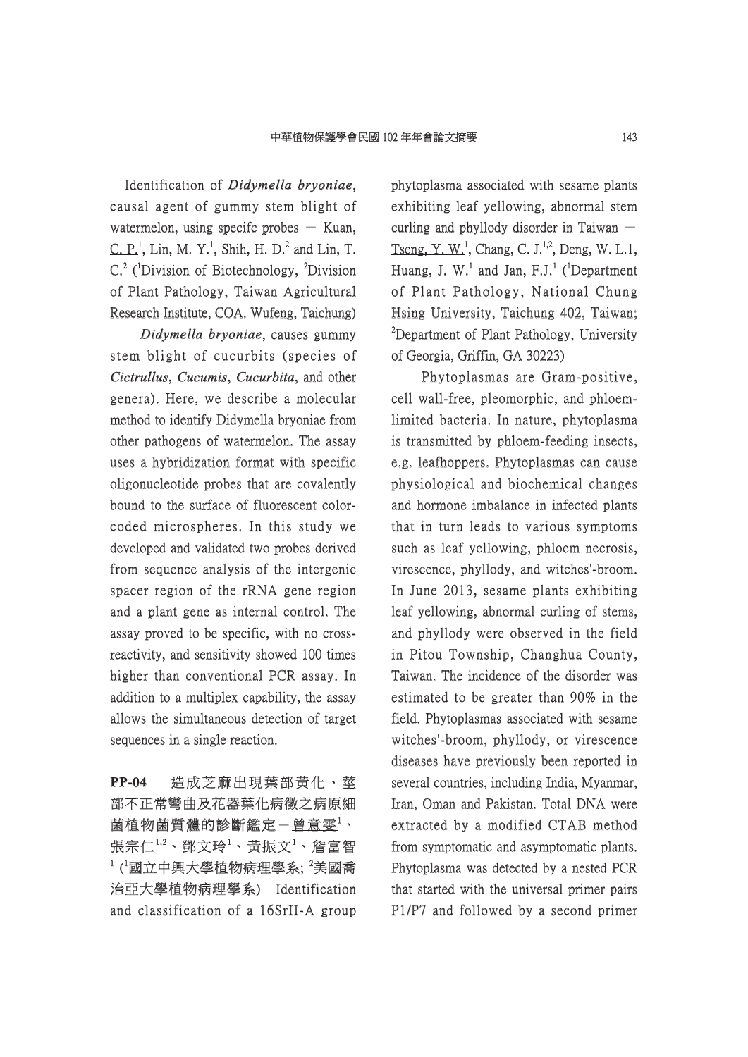Identification of *Didymella bryoniae*, causal agent of gummy stem blight of watermelon, using specifc probes  $-$  Kuan,  $C. P<sup>1</sup>$ , Lin, M. Y.<sup>1</sup>, Shih, H. D.<sup>2</sup> and Lin, T.  $C<sup>2</sup>$  (<sup>1</sup>Division of Biotechnology, <sup>2</sup>Division of Plant Pathology, Taiwan Agricultural f Research Institute, COA. Wufeng, Taichung)

*Didymella bryoniae*, causes gummy stem blight of cucurbits (species of *Cictrullus*, *Cucumis*, *Cucurbita*, and other genera). Here, we describe a molecular method to identify Didymella bryoniae from other pathogens of watermelon. The assay uses a hybridization format with specific oligonucleotide probes that are covalently bound to the surface of fluorescent colorcoded microspheres. In this study we developed and validated two probes derived from sequence analysis of the intergenic spacer region of the rRNA gene region and a plant gene as internal control. The assay proved to be specific, with no crossreactivity, and sensitivity showed 100 times higher than conventional PCR assay. In addition to a multiplex capability, the assay allows the simultaneous detection of target sequences in a single reaction.

**PP-04** 造成芝麻出現葉部黃化、莖 部不正常彎曲及花器葉化病徵之病原細 菌植物菌質體的診斷鑑定-曾意雯 $^{\rm l}$ 、 張宗仁 $^{1,2}$ 、鄧文玲 $^{1}$ 、黃振文 $^{1}$ 、詹富智  $^1$ ( $^1$ 國立中興大學植物病理學系;  $^2$ 美國喬 治亞大學植物病理學系) Identification 亞大學植物病理學系) Identification and classification of a 16SrII-A group phytoplasma associated with sesame plants exhibiting leaf yellowing, abnormal stem curling and phyllody disorder in Taiwan  $-$ Tseng, Y. W.<sup>1</sup>, Chang, C. J.<sup>1,2</sup>, Deng, W. L.1, Huang, J. W.<sup>1</sup> and Jan, F.J.<sup>1</sup> (<sup>1</sup>Department of Plant Pathology, National Chung Hsing University, Taichung 402, Taiwan;  ${}^{2}$ Department of Plant Pathology, University of Georgia, Griffin, GA 30223)

Phytoplasmas are Gram-positive, cell wall-free, pleomorphic, and phloemlimited bacteria. In nature, phytoplasma is transmitted by phloem-feeding insects, e.g. leafhoppers. Phytoplasmas can cause physiological and biochemical changes and hormone imbalance in infected plants that in turn leads to various symptoms such as leaf yellowing, phloem necrosis, virescence, phyllody, and witches'-broom. In June 2013, sesame plants exhibiting leaf yellowing, abnormal curling of stems, and phyllody were observed in the field in Pitou Township, Changhua County, Taiwan. The incidence of the disorder was estimated to be greater than 90% in the field. Phytoplasmas associated with sesame witches'-broom, phyllody, or virescence diseases have previously been reported in several countries, including India, Myanmar, Iran, Oman and Pakistan. Total DNA were extracted by a modified CTAB method from symptomatic and asymptomatic plants. Phytoplasma was detected by a nested PCR that started with the universal primer pairs P1/P7 and followed by a second primer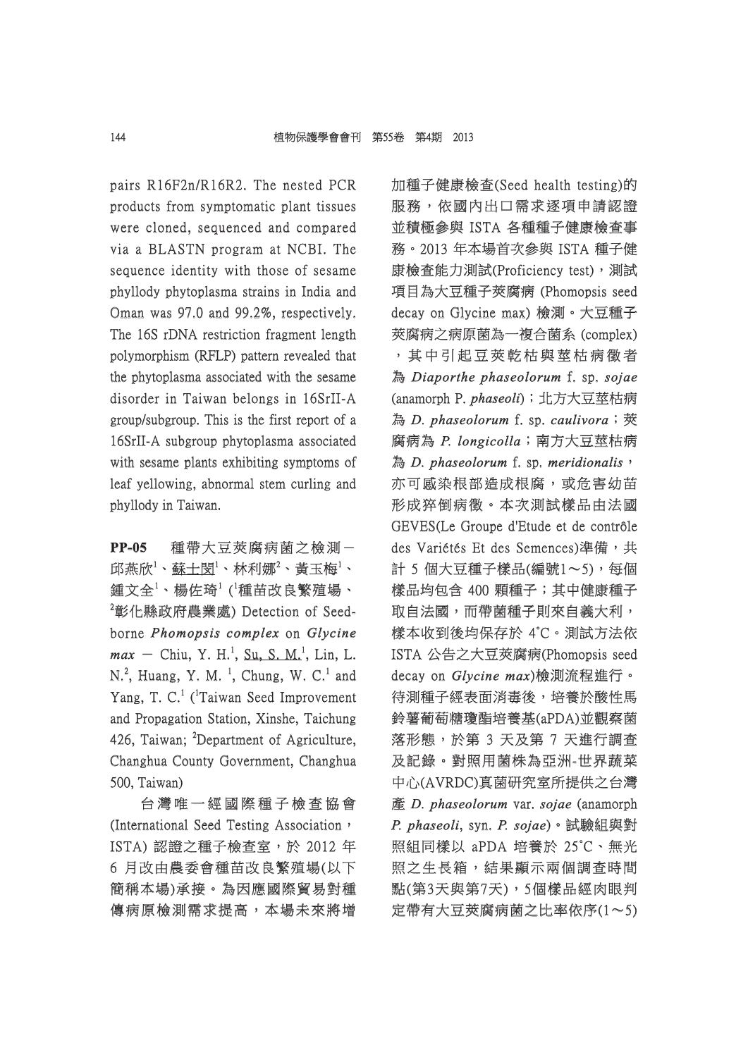pairs R16F2n/R16R2. The nested PCR products from symptomatic plant tissues were cloned, sequenced and compared via a BLASTN program at NCBI. The sequence identity with those of sesame phyllody phytoplasma strains in India and Oman was 97.0 and 99.2%, respectively. The 16S rDNA restriction fragment length polymorphism (RFLP) pattern revealed that the phytoplasma associated with the sesame disorder in Taiwan belongs in 16SrII-A group/subgroup. This is the first report of a 16SrII-A subgroup phytoplasma associated with sesame plants exhibiting symptoms of leaf yellowing, abnormal stem curling and phyllody in Taiwan.

**PP-05** 種帶大豆莢腐病菌之檢測- 邱燕欣 $^1\cdot$ 蘇士閔 $^1\cdot$ 林利娜 $^2\cdot$ 黄玉梅 $^1\cdot$ 鍾文全<sup>1</sup>、楊佐琦<sup>1</sup>(<sup>1</sup>種苗改良繁殖場、  $^{2}$ 彰化縣政府農業處) Detection of Seedborne *Phomopsis complex homopsis* on *Glycine*   $max -$  Chiu, Y. H.<sup>1</sup>, Su, S. M.<sup>1</sup>, Lin, L.  $N<sup>2</sup>$ , Huang, Y. M.<sup>1</sup>, Chung, W. C.<sup>1</sup> and Yang, T. C.<sup>1</sup> (<sup>1</sup>Taiwan Seed Improvement and Propagation Station, Xinshe, Taichung 426, Taiwan; <sup>2</sup>Department of Agriculture, Changhua County Government, Changhua 500, Taiwan)

台 灣 唯 一 經 國 際 種 子 檢 查 協 會 灣 唯 一 經 國 際 種 子 檢 查 協 (International Seed Testing Association, ISTA) 認證之種子檢查室,於 2012年 6 月改由農委會種苗改良繁殖場(以下 簡稱本場)承接。為因應國際貿易對種 傳病原檢測需求提高,本場未來將增 加種子健康檢查(Seed health testing)的 服務,依國內出口需求逐項申請認證 並積極參與 ISTA 各種種子健康檢查事 務。2013 年本場首次參與 ISTA 種子健 。2013 康檢查能力測試(Proficiency test), 測試 項目為大豆種子莢腐病 (Phomopsis seed decay on Glycine max) 檢測。大豆種子 莢腐病之病原菌為一複合菌系 (complex) ,其中引起豆莢乾枯與莖枯病徵者 其 中 引 起 豆 莢 乾 枯 與 莖 枯 病 徵 者 為 *Diaporthe phaseolorum* f. sp. *sojae* (anamorph P. anamorph *phaseoli haseoli*);北方大豆莖枯病 ;北方大豆莖枯病 為 *D. phaseolorum* f. sp. *caulivora*; 莢 腐病為 *P. longicolla .* ;南方大豆莖枯病 南方大豆莖枯病 為 *D. phaseolorum* f. sp. *meridionalis*, 亦可感染根部造成根腐,或危害幼苗 形成猝倒病徵。本次測試樣品由法國 GEVES(Le Groupe d'Etude et de contrôle des Variétés Et des Semences)準備,共 計 5 個大豆種子樣品(編號1~5),每個 樣品均包含 400 顆種子;其中健康種子 取自法國,而帶菌種子則來自義大利, 樣本收到後均保存於 4°C。測試方法依 ISTA 公告之大豆莢腐病(Phomopsis seed decay on *Glycine max*)檢測流程進行。 待測種子經表面消毒後,培養於酸性馬 鈴薯葡萄糖瓊酯培養基(aPDA)並觀察菌 落形態,於第 3 天及第 7 天進行調査 及記錄。對照用菌株為亞洲-世界蔬菜 中心(AVRDC)真菌研究室所提供之台灣 產 *D. phaseolorum* var. *sojae* (anamorph *P. phaseoli .* , syn. *P. sojae .* )。試驗組與對 照組同樣以 aPDA 培養於 25℃、無光 照之生長箱,結果顯示兩個調查時間 點(第3天與第7天),5個樣品經肉眼判 定帶有大豆莢腐病菌之比率依序(1~5)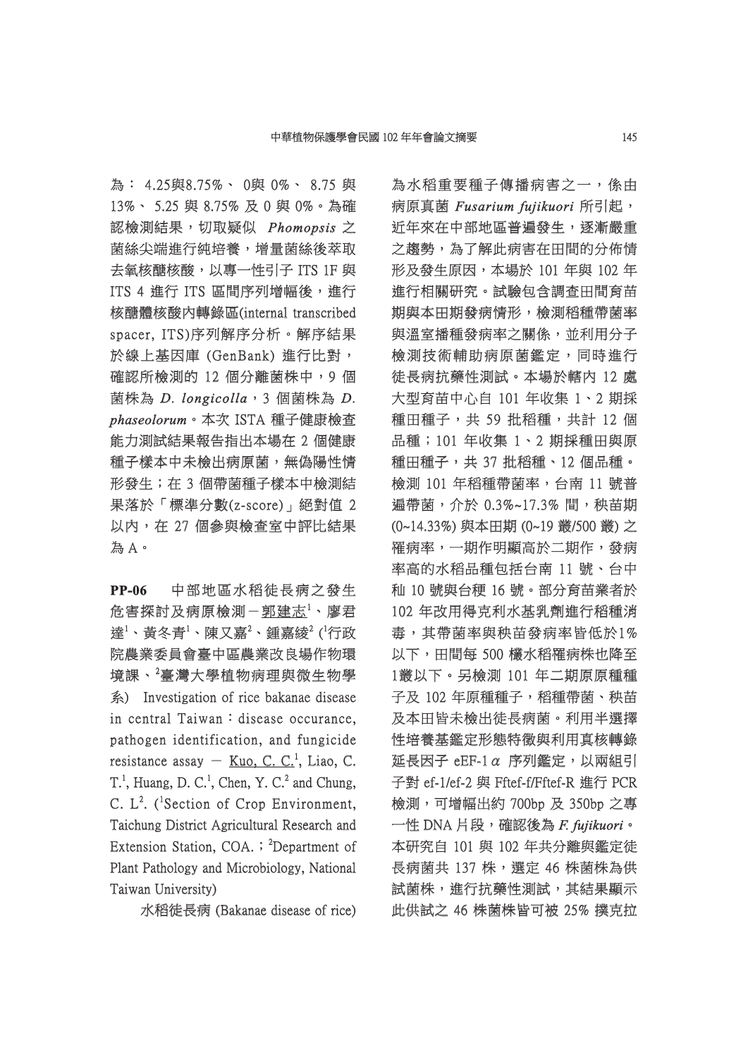為: 4.25與8.75%、 0與 0%、 8.75 與 13%、 5.25 與 8.75% 及 0 與 0%。為確 認檢測結果,切取疑似 檢測結果,切取疑似 *Phomopsis homopsis* 之 菌絲尖端進行純培養,增量菌絲後萃取 去氧核醣核酸,以專一性引子 ITS 1F 與 ITS 4 進行 ITS 區間序列增幅後,進行 核醣體核酸內轉錄區(internal transcribed spacer, ITS)序列解序分析。解序結果 於線上基因庫 (GenBank) 進行比對, 確認所檢測的 12 個分離菌株中, 9個 菌株為 *D. longicolla .* ,3 個菌株為 *D. phaseolorum haseolorum*。本次 ISTA 種子健康檢查 本次 能力測試結果報告指出本場在 2 個健康 種子樣本中未檢出病原菌,無偽陽性情 形發生;在 3 個帶菌種子樣本中檢測結 果落於「標準分數(z-score)」絕對值 2 以内,在 27 個參與檢查室中評比結果 為 A。

**PP-06** 中部地區水稻徒長病之發生 危害探討及病原檢測-<u>郭建志<sup>1</sup>、廖君</u> 達 $^1\cdot$ 黃冬青 $^1\cdot$ 陳又嘉 $^2\cdot$ 鍾嘉綾 $^2$  ('行政 院農業委員會臺中區農業改良場作物環 境課、 ${}^{2}$ 臺灣大學植物病理與微生物學 系) Investigation of rice bakanae disease in central Taiwan: disease occurance, pathogen identification, and fungicide resistance assay  $-$  Kuo, C. C.<sup>1</sup>, Liao, C. T.<sup>1</sup>, Huang, D. C.<sup>1</sup>, Chen, Y. C.<sup>2</sup> and Chung, C.  $L^2$ . (<sup>1</sup>Section of Crop Environment, Taichung District Agricultural Research and Extension Station, COA.  $\mathsf{R}$ <sup>2</sup>Department of Plant Pathology and Microbiology, National Taiwan University)

水稻徒長病 (Bakanae disease of rice)

為水稻重要種子傳播病害之一,係由 病原真菌 *Fusarium fujikuori usarium* 所引起, 近年來在中部地區普遍發生,逐漸嚴重 之趨勢,為了解此病害在田間的分佈情 形及發生原因,本場於 101年與 102年 進行相關研究。試驗包含調査田間育苗 期與本田期發病情形,檢測稻種帶菌率 與溫室播種發病率之關係,並利用分子 檢測技術輔助病原菌鑑定,同時進行 徒長病抗藥性測試。本場於轄內 12 處 大型育苗中心自 101 年收集 1、2 期採 種田種子,共 59 批稻種,共計 12個 品種;101年收集 1、2期採種田與原 種田種子,共 37 批稻種、12 個品種。 檢測 101 年稻種帶菌率,台南 11 號普 遍帶菌,介於 0.3%~17.3% 間,秧苗期 (0~14.33%) 與本田期 (0~19 叢/500 叢) 之 0~14.33%) 罹病率,一期作明顯高於二期作,發病 率高的水稻品種包括台南 11號、台中 秈 10 號與台稉 16 號。部分育苗業者於 102 年改用得克利水基乳劑進行稻種消 毒,其帶菌率與秧苗發病率皆低於1% 以下,田間每 500 欉水稻罹病株也降至 1叢以下。另檢測 101 年二期原原種種 叢以下。另檢測 子及 102 年原種種子, 稻種帶菌、秧苗 及本田皆未檢出徒長病菌。利用半選擇 性培養基鑑定形態特徵與利用真核轉錄 延長因子 eEF-1 $\alpha$  序列鑑定, 以兩組引 子對 ef-1/ef-2 與 Fftef-f/Fftef-R 進行 PCR 檢測,可增幅出約 700bp 及 350bp 之專 一性 DNA 片段,確認後為 F. fujikuori · 本研究自 101 與 102 年共分離與鑑定徒 長病菌共 137 株,選定 46 株菌株為供 試菌株,進行抗藥性測試,其結果顯示 此供試之 46 株菌株皆可被 25% 撲克拉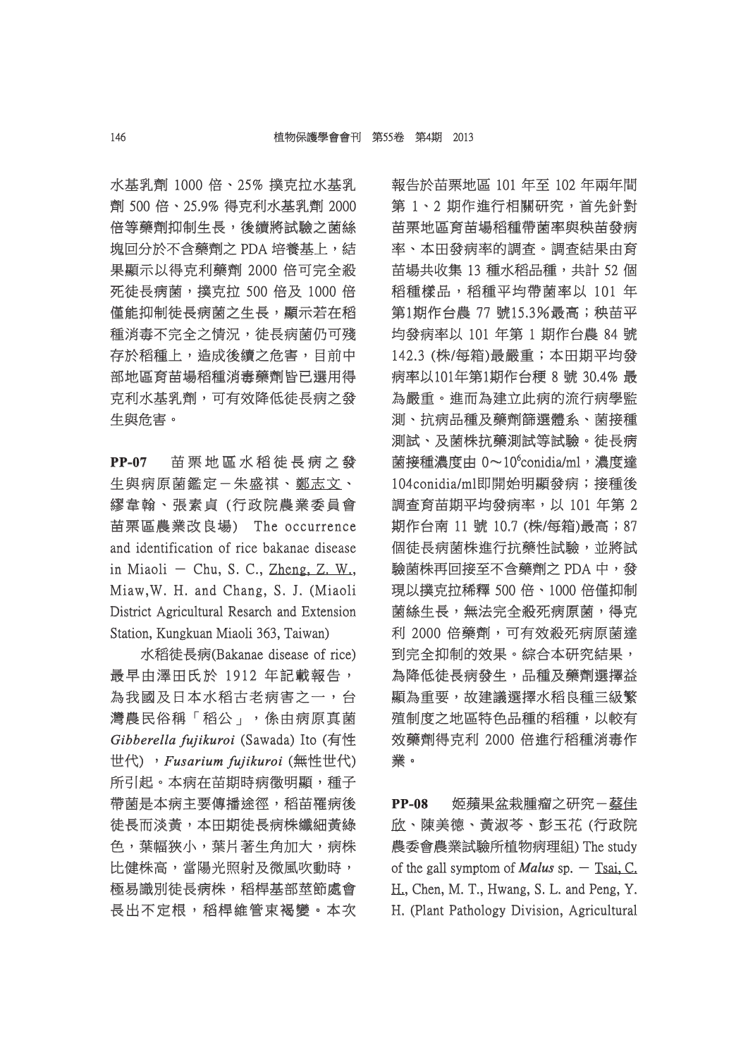水基乳劑 1000 倍、25% 撲克拉水基乳 劑 500 倍、25.9% 得克利水基乳劑 2000 倍等藥劑抑制生長,後續將試驗之菌絲 塊回分於不含藥劑之 PDA 培養基上,結 果顯示以得克利藥劑 2000 倍可完全殺 死徒長病菌,撲克拉 500 倍及 1000 倍 僅能抑制徒長病菌之生長,顯示若在稻 能抑制徒長病菌之生長,顯示若在稻 種消毒不完全之情況,徒長病菌仍可殘 存於稻種上,造成後續之危害,目前中 部地區育苗場稻種消毒藥劑皆已選用得 克利水基乳劑,可有效降低徒長病之發 生與危害。

**PP-07** 苗栗地區水稻徒長病之發 生與病原菌鑑定-朱盛祺、鄭志文、 繆韋翰、張素貞 (行政院農業委員會 苗栗區農業改良場) The occurrence and identification of rice bakanae disease in Miaoli - Chu, S. C., Zheng, Z. W., Miaw, W. H. and Chang, S. J. (Miaoli District Agricultural Resarch and Extension Station, Kungkuan Miaoli 363, Taiwan)

水稻徒長病(Bakanae disease of rice) 最早由澤田氏於 1912 年記載報告, 為我國及日本水稻古老病害之一,台 灣農民俗稱「稻公」,係由病原真菌 *Gibberella fujikuroi ibberella* (Sawada) Ito (有性 世代) ,*Fusarium fujikuroi usarium* (無性世代) 所引起。本病在苗期時病徵明顯,種子 帶菌是本病主要傳播途徑,稻苗罹病後 徒長而淡黃,本田期徒長病株纖細黃綠 色,葉幅狹小,葉片著生角加大,病株 比健株高,當陽光照射及微風吹動時, 極易識別徒長病株,稻桿基部莖節處會 長出不定根,稻桿維管束褐變。本次 報告於苗栗地區 101 年至 102 年兩年間 第 1、2 期作進行相關研究,首先針對 苗栗地區育苗場稻種帶菌率與秧苗發病 率、本田發病率的調查。調查結果由育 苗場共收集 13 種水稻品種,共計 52個 稻種樣品,稻種平均帶菌率以 101 年 第1期作台農 77 號15.3%最高; 秧苗平 均發病率以 101 年第 1 期作台農 84 號 142.3 (株/每箱)最嚴重;本田期平均發 病率以101年第1期作台稉 8號 30.4% 最 為嚴重。進而為建立此病的流行病學監 測、抗病品種及藥劑篩選體系、菌接種 測試、及菌株抗藥測試等試驗。徒長病 菌接種濃度由 0~10°conidia/ml,濃度達 104conidia/ml即開始明顯發病;接種後 04conidia/ml即開始明顯發病;接種後 調查育苗期平均發病率,以 101年第2 期作台南 11號 10.7 (株/每箱)最高;87 個徒長病菌株進行抗藥性試驗,並將試 驗菌株再回接至不含藥劑之 PDA 中,發 菌株再回接至不含藥劑之 現以撲克拉稀釋 500 倍、1000 倍僅抑制 菌絲生長,無法完全殺死病原菌,得克 利 2000 倍藥劑,可有效殺死病原菌達 到完全抑制的效果。綜合本研究結果, 為降低徒長病發生,品種及藥劑選擇益 顯為重要,故建議選擇水稻良種三級繁 殖制度之地區特色品種的稻種,以較有 效藥劑得克利 2000 倍進行稻種消毒作 業。

PP-08 姬蘋果盆栽腫瘤之研究-蔡佳 欣、陳美德、黃淑苓、彭玉花 (行政院 農委會農業試驗所植物病理組) The study of the gall symptom of *Malus* sp.  $-$  Tsai, C. H., Chen, M. T., Hwang, S. L. and Peng, Y. H. (Plant Pathology Division, Agricultural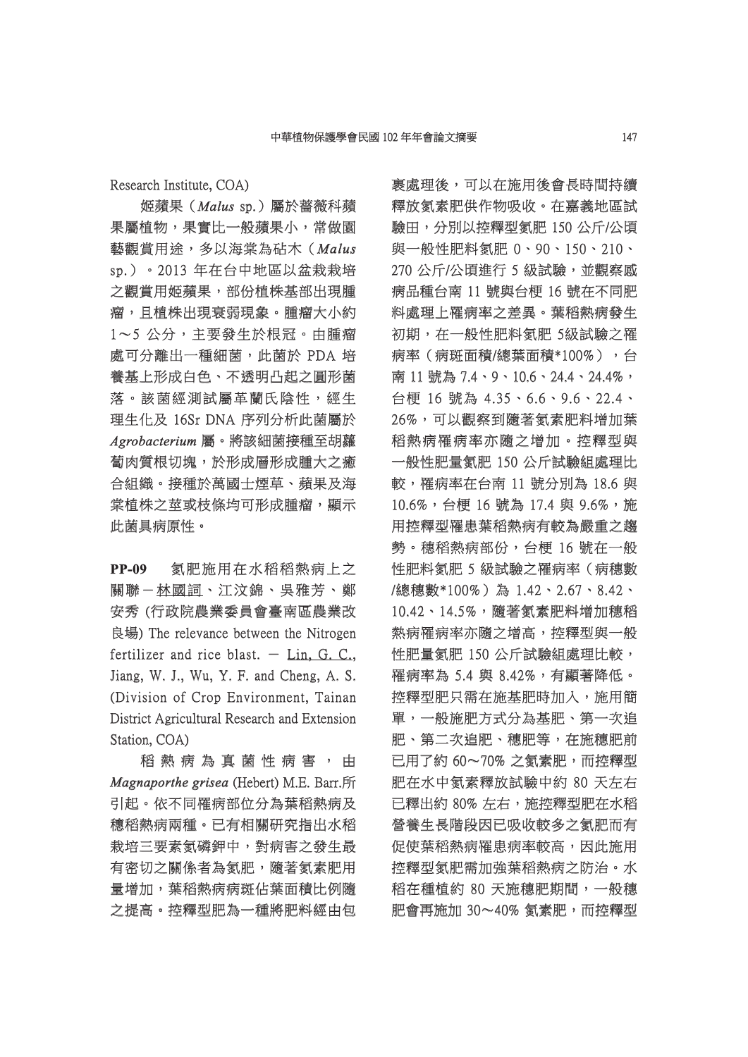Research Institute, COA)

姬蘋果(*Malus*sp.)屬於薔薇科蘋 果屬植物,果實比一般蘋果小,常做園 藝觀賞用途,多以海棠為砧木( 觀賞用途,多以海棠為砧木(*Malus* sp.)。2013 年在台中地區以盆栽栽培 之觀賞用姬蘋果,部份植株基部出現腫 瘤,且植株出現衰弱現象。腫瘤大小約 1~5 公分,主要發生於根冠。由腫瘤 處可分離出一種細菌,此菌於 PDA 培 養基上形成白色、不透明凸起之圓形菌 落。該菌經測試屬革蘭氏陰性,經生 。該菌經測試屬革蘭氏陰性,經生 理生化及 16Sr DNA 序列分析此菌屬於 *Agrobacterium grobacterium*屬。將該細菌接種至胡蘿 蔔肉質根切塊,於形成層形成腫大之癒 肉質根切塊,於形成層形成腫大之癒 合組織。接種於萬國士煙草、蘋果及海 棠植株之莖或枝條均可形成腫瘤,顯示 此菌具病原性。

**PP-09** 氮肥施用在水稻稻熱病上之 關聯一林國詞、江汶錦、吳雅芳、鄭 安秀 (行政院農業委員會臺南區農業改 良場) The relevance between the Nitrogen fertilizer and rice blast.  $-$  Lin, G. C., Jiang, W. J., Wu, Y. F. and Cheng, A. S. (Division of Crop Environment, Tainan District Agricultural Research and Extension Station, COA)

稻 熱 病 為 真 菌 性 病 害 , 由 *Magnaporthe grisea* (Hebert) M.E. Barr.所 引起。依不同罹病部位分為葉稻熱病及 穗稻熱病兩種。已有相關研究指出水稻 栽培三要素氮磷鉀中,對病害之發生最 有密切之關係者為氮肥,隨著氮素肥用 量增加,葉稻熱病病斑佔葉面積比例隨 之提高。控釋型肥為一種將肥料經由包 裹處理後,可以在施用後會長時間持續 釋放氢素肥供作物吸收。在嘉義地區試 驗田,分別以控釋型氮肥 150 公斤/公頃 田,分別以控釋型氮肥 與一般性肥料氮肥 0、90、150、210、 270 公斤/公頃進行 5 級試驗,並觀察感 病品種台南 11 號與台梗 16 號在不同肥 料處理上罹病率之差異。葉稻熱病發生 初期,在一般性肥料氮肥 5級試驗之罹 病率(病斑面積/總葉面積\*100%),台 南 11號為 7.4、9、10.6、24.4、24.4%, 台梗 16 號為 4.35、6.6、9.6、22.4、 梗 26%,可以觀察到隨著氫素肥料增加葉 稻熱病罹病率亦隨之增加。控釋型與 一般性肥量氮肥 150 公斤試驗組處理比 般性肥量氮肥 較,罹病率在台南 11號分別為 18.6 與 10.6%,台梗 16號為 17.4與 9.6%,施 用控釋型罹患葉稻熱病有較為嚴重之趨 勢。穗稻熱病部份,台梗 16號在一般 性肥料氮肥 5 級試驗之罹病率 (病穗數 /總穗數\*100%)為 1.42、2.67、8.42、 總穗數\*100%)為 10.42、14.5%,隨著氫素肥料增加穗稻 熱病罹病率亦隨之增高,控釋型與一般 性肥量氮肥 150 公斤試驗組處理比較, 罹病率為 5.4 與 8.42%,有顯著降低。 控釋型肥只需在施基肥時加入,施用簡 單,一般施肥方式分為基肥、第一次追 肥、第二次追肥、穗肥等,在施穗肥前 已用了約 60~70% 之氡素肥,而控釋型 肥在水中氮素釋放試驗中約 80 天左右 已釋出約 80% 左右,施控釋型肥在水稻 營養生長階段因已吸收較多之氮肥而有 促使葉稻熱病罹患病率較高,因此施用 控釋型氮肥需加強葉稻熱病之防治。水 稻在種植約 80 天施穗肥期間,一般穗 肥會再施加 30~40% 氨素肥,而控釋型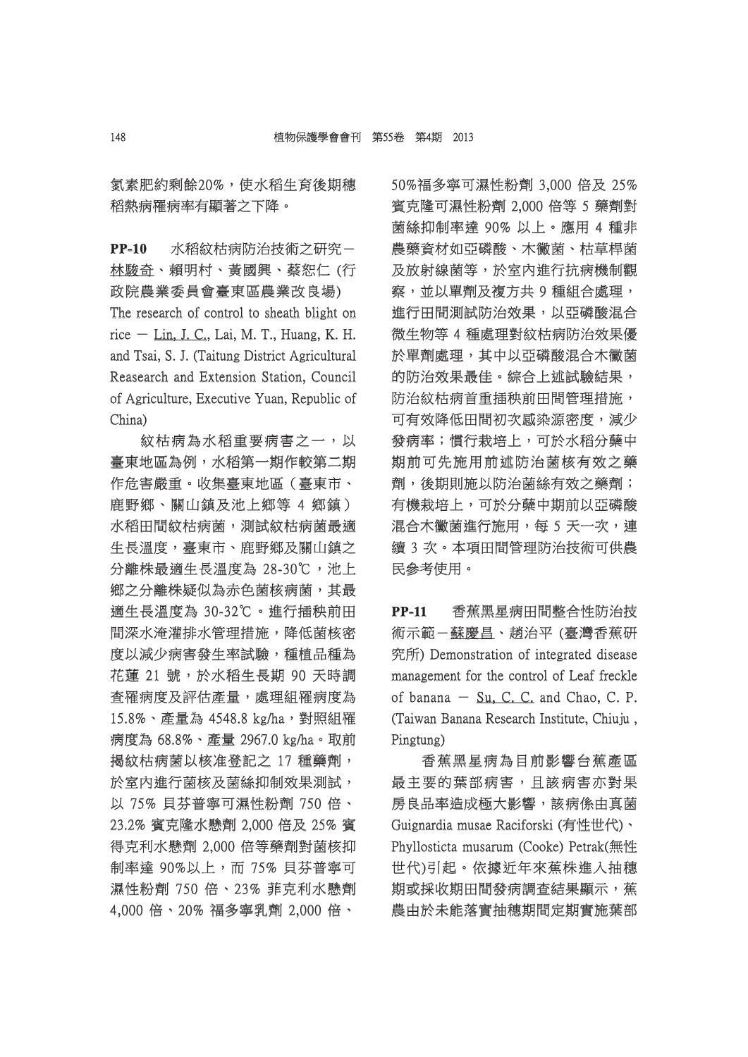氮素肥約剩餘20%,使水稻生育後期穗 稻熱病罹病率有顯著之下降。

**PP-10** 水稻紋枯病防治技術之研究- 林駿奇、賴明村、黃國興、蔡恕仁 (行 政院農業委員會臺東區農業改良場)

The research of control to sheath blight on rice  $-$  Lin, J. C., Lai, M. T., Huang, K. H. and Tsai, S. J. (Taitung District Agricultural Reasearch and Extension Station, Council of Agriculture, Executive Yuan, Republic of China)

紋枯病為水稻重要病害之一,以 枯病為水稻重要病害之一,以 臺東地區為例,水稻第一期作較第二期 作危害嚴重。收集臺東地區(臺東市、 鹿野鄉、關山鎮及池上鄉等 4 鄉鎮) 水稻田間紋枯病菌,測試紋枯病菌最適 生長溫度,臺東市、鹿野鄉及關山鎮之 分離株最適生長溫度為 28-30℃,池上 鄉之分離株疑似為赤色菌核病菌,其最 適生長溫度為 30-32℃。進行插秧前田 間深水淹灌排水管理措施,降低菌核密 度以減少病害發生率試驗,種植品種為 花蓮 21號,於水稻生長期 90天時調 查罹病度及評估產量,處理組罹病度為 15.8%、產量為 4548.8 kg/ha,對照組罹 病度為 68.8%、產量 2967.0 kg/ha。取前 揭紋枯病菌以核准登記之 17 種藥劑, 於室內進行菌核及菌絲抑制效果測試, 以 75% 貝芬普寧可濕性粉劑 750 倍、 23.2% 賓克隆水懸劑 2,000 倍及 25% 賓 3.2% 得克利水懸劑 2,000 倍等藥劑對菌核抑 制率達 90%以上,而 75% 貝芬普寧可 濕性粉劑 750 倍、23% 菲克利水懸劑 4,000 倍、20% 福多寧乳劑 2,000 倍、

50%福多寧可濕性粉劑 3,000 倍及 25% 0%福多寧可濕性粉劑 賓克隆可濕性粉劑 2,000 倍等 5 藥劑對 菌絲抑制率達 90% 以上。應用 4 種非 絲抑制率達 農藥資材如亞磷酸、木黴菌、枯草桿菌 及放射線菌等,於室內進行抗病機制觀 察,並以單劑及複方共9種組合處理, 進行田間測試防治效果,以亞磷酸混合 微生物等 4 種處理對紋枯病防治效果優 於單劑處理,其中以亞磷酸混合木黴菌 的防治效果最佳。綜合上述試驗結果, 防治紋枯病首重插秧前田間管理措施, 可有效降低田間初次感染源密度,減少 發病率;慣行栽培上,可於水稻分蘖中 期前可先施用前述防治菌核有效之藥 劑,後期則施以防治菌絲有效之藥劑; ,後期則施以防治菌絲有效之藥劑; 有機栽培上,可於分蘖中期前以亞磷酸 混合木黴菌進行施用,每 5 天一次,連 續 3 次。本項田間管理防治技術可供農 民參考使用。

**PP-11** 香蕉黑星病田間整合性防治技 術示範-蘇慶昌、趙治平 (臺灣香蕉研 究所) Demonstration of integrated disease management for the control of Leaf freckle of banana  $-$  Su, C. C. and Chao, C. P. (Taiwan Banana Research Institute, Chiuju, Pingtung)

香蕉黑星病為目前影響台蕉產區 最主要的葉部病害,且該病害亦對果 房良品率造成極大影響,該病係由真菌 Guignardia musae Raciforski (有性世代)、 Phyllosticta musarum (Cooke) Petrak(無性 世代)引起。依據近年來蕉株進入抽穗 期或採收期田間發病調查結果顯示,蕉 農由於未能落實抽穗期間定期實施葉部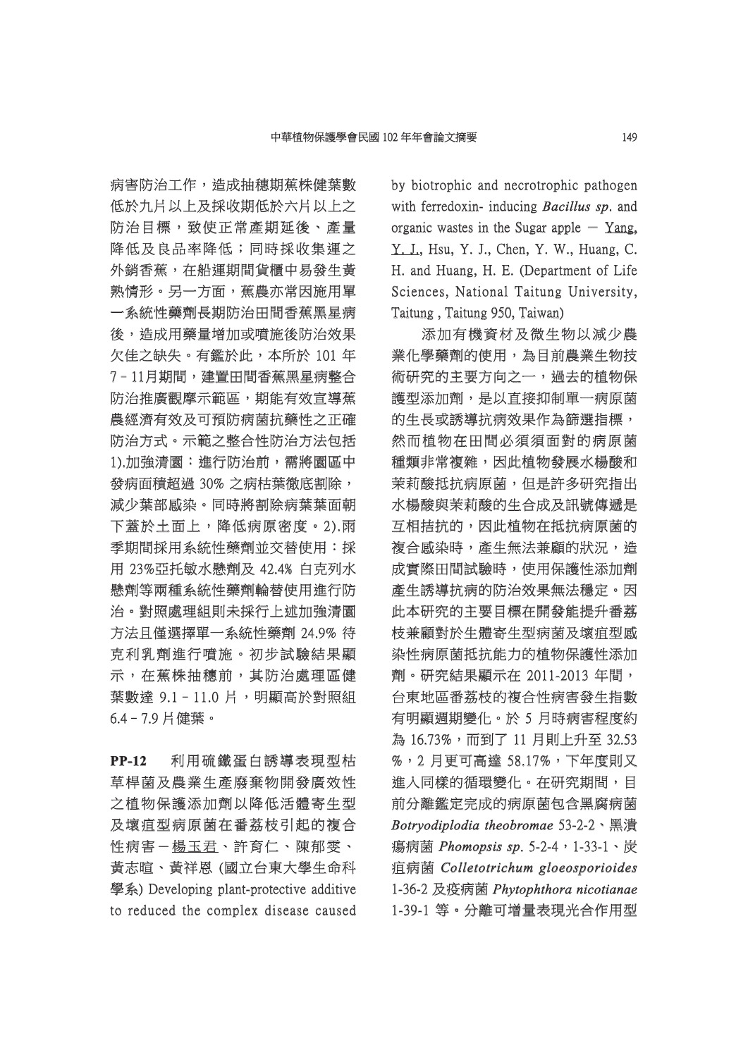病害防治工作,造成抽穗期蕉株健葉數 低於九片以上及採收期低於六片以上之 防治目標,致使正常產期延後、產量 降低及良品率降低;同時採收集運之 外銷香蕉,在船運期間貨櫃中易發生黃 熟情形。另一方面,蕉農亦常因施用單 一系統性藥劑長期防治田間香蕉黑星病 後,造成用藥量增加或噴施後防治效果 欠佳之缺失。有鑑於此,本所於 101年 7-11月期間,建置田間香蕉黑星病整合 防治推廣觀摩示範區,期能有效宣導蕉 農經濟有效及可預防病菌抗藥性之正確 防治方式。示範之整合性防治方法包括 1).加強清園:進行防治前,需將園區中 發病面積超過 30% 之病枯葉徹底割除, 減少葉部感染。同時將割除病葉葉面朝 下蓋於土面上,降低病原密度。2).雨 季期間採用系統性藥劑並交替使用:採 用 23%亞托敏水懸劑及 42.4% 白克列水 懸劑等兩種系統性藥劑輪替使用進行防 治。對照處理組則未採行上述加強清園 方法且僅選擇單一系統性藥劑 24.9% 待 克利乳劑進行噴施。初步試驗結果顯 示,在蕉株抽穗前,其防治處理區健 葉數達 9.1 - 11.0 片,明顯高於對照組 6.4–7.9 片健葉。 .4–7.9

**PP-12** 利用硫鐵蛋白誘導表現型枯 草桿菌及農業生產廢棄物開發廣效性 之植物保護添加劑以降低活體寄生型 及壞疽型病原菌在番荔枝引起的複合 性病害-楊玉君、許育仁、陳郁雯、 黃志暄、黃祥恩 (國立台東大學生命科 學系) Developing plant-protective additive to reduced the complex disease caused by biotrophic and necrotrophic pathogen with ferredoxin- inducing *Bacillus sp*. and organic wastes in the Sugar apple  $-$  Yang, Y. J., Hsu, Y. J., Chen, Y. W., Huang, C. H. and Huang, H. E. (Department of Life Sciences, National Taitung University, Taitung, Taitung 950, Taiwan)

添加有機資材及微生物以減少農 業化學藥劑的使用,為目前農業生物技 術研究的主要方向之一, 過去的植物保 護型添加劑,是以直接抑制單一病原菌 的生長或誘導抗病效果作為篩選指標, 然而植物在田間必須須面對的病原菌 種類非常複雜,因此植物發展水楊酸和 茉莉酸抵抗病原菌,但是許多研究指出 水楊酸與茉莉酸的生合成及訊號傳遞是 互相拮抗的,因此植物在抵抗病原菌的 複合感染時,產生無法兼顧的狀況,造 成實際田間試驗時,使用保護性添加劑 產生誘導抗病的防治效果無法穩定。因 此本研究的主要目標在開發能提升番荔 枝兼顧對於生體寄生型病菌及壞疽型感 染性病原菌抵抗能力的植物保護性添加 劑。研究結果顯示在 2011-2013 年間, 。研究結果顯示在 台東地區番荔枝的複合性病害發生指數 有明顯週期變化。於 5 月時病害程度約 為 16.73%,而到了 11 月則上升至 32.53 %, 2 月更可高達 58.17%, 下年度則又 進入同樣的循環變化。在研究期間,目 前分離鑑定完成的病原菌包含黑腐病菌 *Botryodiplodia theobromae otryodiplodia* 53-2-2、黑潰 瘍病菌 *Phomopsis sp homopsis* . 5-2-4,1-33-1、炭 5-2-4,1-33-1、炭 疽病菌 *Colletotrichum gloeosporioides olletotrichum*  1-36-2 及疫病菌 -36-2 *Phytophthora nicotianae hytophthora*  1-39-1 等。分離可增量表現光合作用型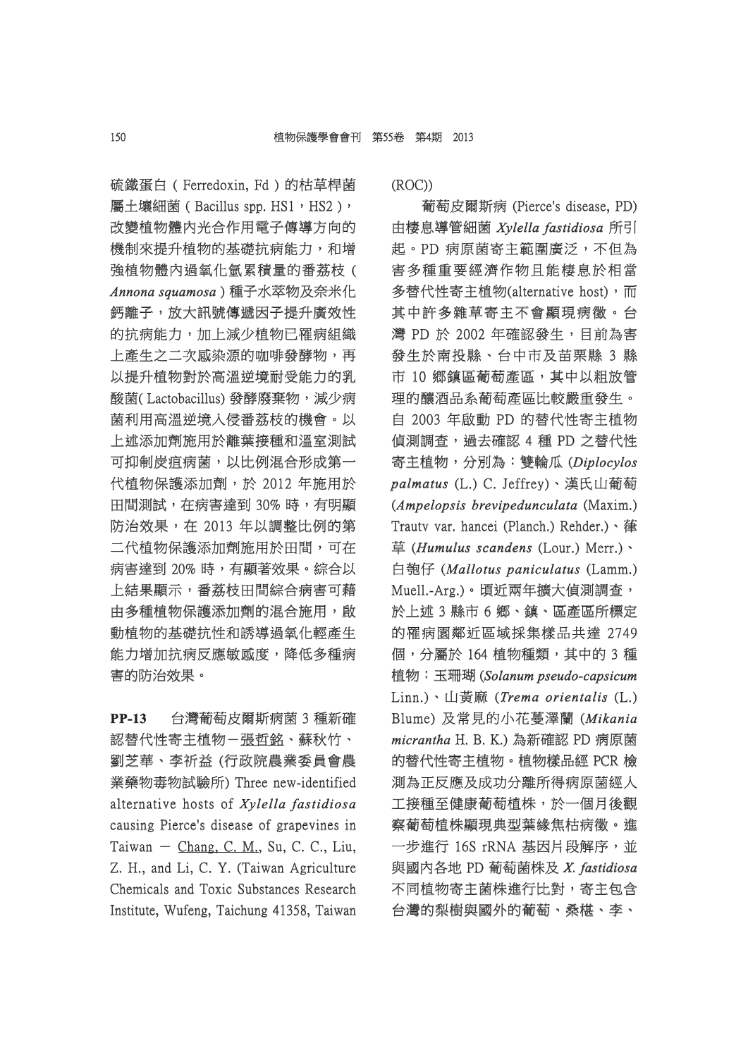硫鐵蛋白 ( Ferredoxin, Fd ) 的枯草桿菌 屬土壤細菌 ( Bacillus spp. HS1, HS2 ), 改變植物體內光合作用電子傳導方向的 機制來提升植物的基礎抗病能力,和增 強植物體內過氧化氫累積量的番荔枝( *Annona squamosa nnona* ) 種子水萃物及奈米化 **鈣離子,放大訊號傳遞因子提升廣效性** 的抗病能力,加上减少植物已罹病組織 上產生之二次感染源的咖啡發酵物,再 以提升植物對於高溫逆境耐受能力的乳 酸菌(Lactobacillus) 發酵廢棄物,減少病 菌利用高溫逆境入侵番荔枝的機會。以 上述添加劑施用於離葉接種和溫室測試 可抑制炭疽病菌,以比例混合形成第一 代植物保護添加劑,於 2012 年施用於 田間測試,在病害達到 30% 時,有明顯 防治效果,在 2013 年以調整比例的第 二代植物保護添加劑施用於田間,可在 病害達到 20% 時,有顯著效果。綜合以 上結果顯示,番荔枝田間綜合病害可藉 由多種植物保護添加劑的混合施用,啟 動植物的基礎抗性和誘導過氧化輕產生 能力增加抗病反應敏感度,降低多種病 害的防治效果。

**PP-13** 台灣葡萄皮爾斯病菌 3 種新確 認替代性寄主植物-張哲銘、蘇秋竹、 劉芝華、李祈益 (行政院農業委員會農 業藥物毒物試驗所) Three new-identified 藥物毒物試驗所) alternative hosts of *Xylella fastidiosa* causing Pierce's disease of grapevines in Taiwan  $-$  Chang, C. M., Su, C. C., Liu, Z. H., and Li, C. Y. (Taiwan Agriculture Chemicals and Toxic Substances Research Institute, Wufeng, Taichung 41358, Taiwan (ROC))

葡萄皮爾斯病 (Pierce's disease, PD) 由棲息導管細菌 *Xylella fastidiosa ylella* 所引 起。PD 病原菌寄主範圍廣泛,不但為 。PD 害多種重要經濟作物且能棲息於相當 多替代性寄主植物(alternative host),而 其中許多雜草寄主不會顯現病徵。台 灣 PD 於 2002 年確認發生,目前為害 發生於南投縣、台中市及苗栗縣 3 縣 市 10 鄉鎮區葡萄產區,其中以粗放管 理的釀酒品系葡萄產區比較嚴重發生。 自 2003 年啟動 PD 的替代性寄主植物 偵測調査, 過去確認 4 種 PD 之替代性 寄主植物,分別為:雙輪瓜 (Diplocylos *palmatus almatus*(L.) C. Jeffrey)、漢氏山葡萄 *(Ampelopsis brevipedunculata (Maxim.)* Trauty var. hancei (Planch.) Rehder.)、葎 草 (*Humulus scandens* (Lour.) Merr.)、 白匏仔 (Mallotus paniculatus (Lamm.) Muell.-Arg.)。頃近兩年擴大偵測調查, 於上述 3 縣市 6 鄉、鎮、區產區所標定 的罹病園鄰近區域採集樣品共達 2749 個,分屬於 164 植物種類,其中的 3 種 植物: 玉珊瑚 (Solanum pseudo-capsicum Linn.)、山黃麻 (Trema orientalis (L.) Blume) 及常見的小花蔓澤蘭 (Mikania *micrantha icrantha*H. B. K.) 為新確認 PD 病原菌 的替代性寄主植物。植物樣品經 PCR 檢 測為正反應及成功分離所得病原菌經人 工接種至健康葡萄植株,於一個月後觀 察葡萄植株顯現典型葉緣焦枯病徵。進 一步進行 16S rRNA 基因片段解序,並 與國內各地 PD 葡萄菌株及 X. fastidiosa 不同植物寄主菌株進行比對,寄主包含 台灣的梨樹與國外的葡萄、桑椹、李、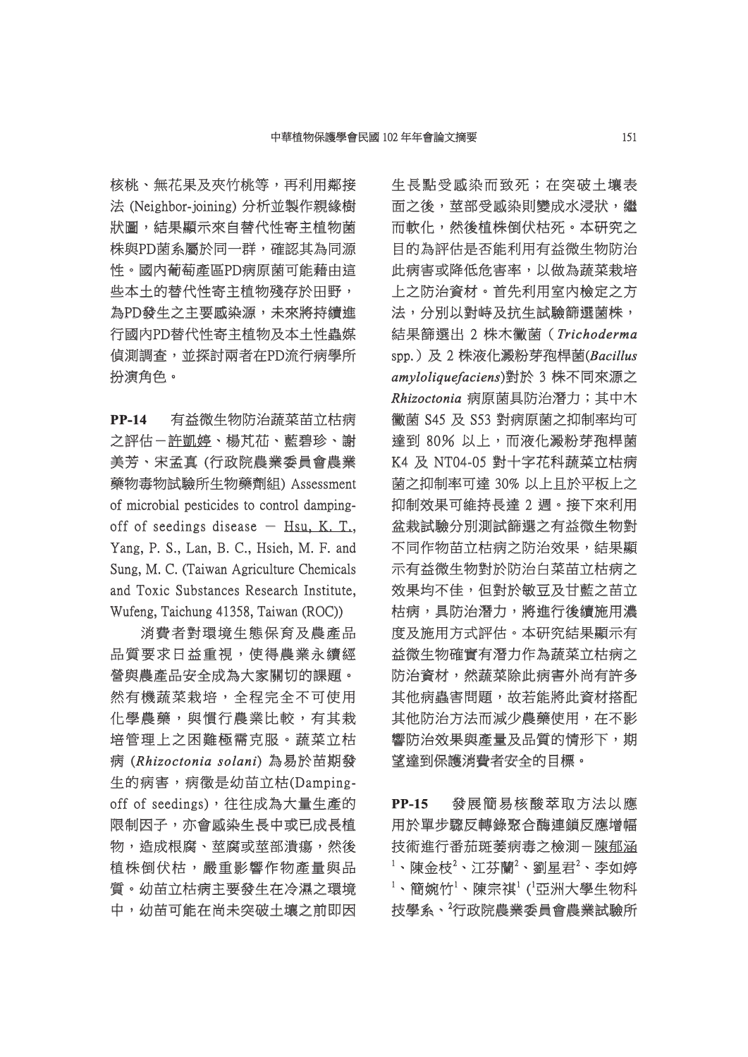核桃、無花果及夾竹桃等,再利用鄰接 法 (Neighbor-joining) 分析並製作親緣樹 狀圖,結果顯示來自替代性寄主植物菌 株與PD菌系屬於同一群,確認其為同源 性。國內葡萄產區PD病原菌可能藉由這 。國內葡萄產區PD病原菌可能藉由這 些本土的替代性寄主植物殘存於田野, 為PD發生之主要感染源,未來將持續進 行國內PD替代性寄主植物及本土性蟲媒 信測調杳,並探討兩者在PD流行病學所 扮演角色。

**PP-14** 有益微生物防治蔬菜苗立枯病 之評估-許凱婷、楊芃苮、藍碧珍、謝 美芳、宋孟真 (行政院農業委員會農業 藥物毒物試驗所生物藥劑組) Assessment 物毒物試驗所生物藥劑組) of microbial pesticides to control dampingoff of seedings disease  $-$  Hsu, K. T., Yang, P. S., Lan, B. C., Hsieh, M. F. and Sung, M. C. (Taiwan Agriculture Chemicals and Toxic Substances Research Institute, Wufeng, Taichung 41358, Taiwan (ROC))

消費者對環境生態保育及農產品 品質要求日益重視,使得農業永續經 營與農產品安全成為大家關切的課題。 然有機蔬菜栽培,全程完全不可使用 化學農藥,與慣行農業比較,有其栽 培管理上之困難極需克服。蔬菜立枯 病 (*Rhizoctonia solani hizoctonia* ) 為易於苗期發 生的病害,病徵是幼苗立枯(Dampingoff of seedings), 往往成為大量生產的 限制因子,亦會感染生長中或已成長植 物,造成根腐、莖腐或莖部潰瘍,然後 植株倒伏枯,嚴重影響作物產量與品 質。幼苗立枯病主要發生在冷濕之環境 中,幼苗可能在尚未突破土壤之前即因 生長點受感染而致死;在突破土壤表 面之後,莖部受感染則變成水浸狀,繼 而軟化,然後植株倒伏枯死。本研究之 目的為評估是否能利用有益微生物防治 此病害或降低危害率,以做為蔬菜栽培 上之防治資材。首先利用室内檢定之方 法,分別以對峙及抗生試驗篩選菌株, 结果篩選出 2 株木黴菌 (Trichoderma spp.)及 2 株液化澱粉芽孢桿菌( pp.)及 *Bacillus acillus amyloliquefaciens myloliquefaciens*)對於 3 株不同來源之 對於 *Rhizoctonia hizoctonia*病原菌具防治潛力;其中木 黴菌 S45 及 S53 對病原菌之抑制率均可 達到 80% 以上,而液化澱粉芽孢桿菌 K4 及 NT04-05 對十字花科蔬菜立枯病 菌之抑制率可達 30% 以上且於平板上之 抑制效果可維持長達 2 週。接下來利用 盆栽試驗分別測試篩選之有益微生物對 不同作物苗立枯病之防治效果,結果顯 示有益微生物對於防治白菜苗立枯病之 效果均不佳,但對於敏豆及甘藍之苗立 枯病,具防治潛力,將進行後續施用濃 度及施用方式評估。本研究結果顯示有 益微生物確實有潛力作為蔬菜立枯病之 防治資材,然蔬菜除此病害外尚有許多 其他病蟲害問題,故若能將此資材搭配 其他防治方法而減少農藥使用,在不影 響防治效果與產量及品質的情形下,期 望達到保護消費者安全的目標。

**PP-15** 發展簡易核酸萃取方法以應 用於單步驟反轉錄聚合酶連鎖反應增幅 技術進行番茄斑萎病毒之檢測-陳郁涵  $^1$ 、陳金枝 $^2$ 、江芬蘭 $^2$ 、劉星君 $^2$ 、李如婷  $^1$ 、簡婉竹 $^1$ 、陳宗祺 $^1$  ( $^1$ 亞洲大學生物科 技學系、<sup>2</sup>行政院農業委員會農業試驗所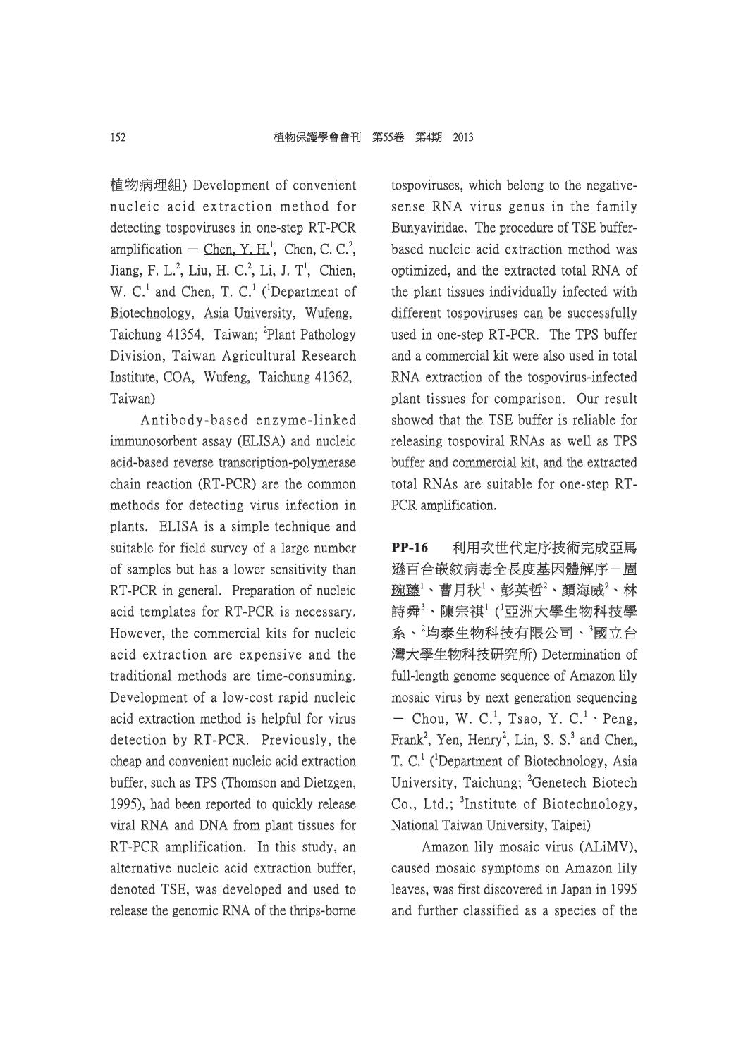植物病理組) Development of convenient 物病理組) nucleic acid extraction method for detecting tospoviruses in one-step RT-PCR amplification  $-$  Chen, Y. H.<sup>1</sup>, Chen, C. C.<sup>2</sup>, Jiang, F. L.<sup>2</sup>, Liu, H. C.<sup>2</sup>, Li, J. T<sup>1</sup>, Chien, W. C.<sup>1</sup> and Chen, T. C.<sup>1</sup> (<sup>1</sup>Department of Biotechnology, Asia University, Wufeng, Taichung 41354, Taiwan; <sup>2</sup>Plant Pathology Division, Taiwan Agricultural Research Institute, COA, Wufeng, Taichung 41362, Taiwan)

Antibody-based enzyme-linked immunosorbent assay (ELISA) and nucleic acid-based reverse transcription-polymerase chain reaction (RT-PCR) are the common methods for detecting virus infection in plants. ELISA is a simple technique and suitable for field survey of a large number of samples but has a lower sensitivity than f RT-PCR in general. Preparation of nucleic acid templates for RT-PCR is necessary. However, the commercial kits for nucleic acid extraction are expensive and the traditional methods are time-consuming. Development of a low-cost rapid nucleic acid extraction method is helpful for virus detection by RT-PCR. Previously, the cheap and convenient nucleic acid extraction buffer, such as TPS (Thomson and Dietzgen, 1995), had been reported to quickly release viral RNA and DNA from plant tissues for RT-PCR amplification. In this study, an alternative nucleic acid extraction buffer, denoted TSE, was developed and used to release the genomic RNA of the thrips-borne

tospoviruses, which belong to the negativesense RNA virus genus in the family Bunyaviridae. The procedure of TSE bufferbased nucleic acid extraction method was optimized, and the extracted total RNA of the plant tissues individually infected with different tospoviruses can be successfully used in one-step RT-PCR. The TPS buffer and a commercial kit were also used in total RNA extraction of the tospovirus-infected plant tissues for comparison. Our result showed that the TSE buffer is reliable for releasing tospoviral RNAs as well as TPS buffer and commercial kit, and the extracted total RNAs are suitable for one-step RT-PCR amplification.

**PP-16** 利用次世代定序技術完成亞馬 遜百合嵌紋病毒全長度基因體解序- 固 琬臻 $^1$ 、曹月秋 $^1$ 、彭英哲 $^2$ 、顏海威 $^2$ 、林 詩舜 $^3$ 、陳宗祺 $^1$  ( $^1$ 亞洲大學生物科技學 系、<sup>2</sup>均泰生物科技有限公司、<sup>3</sup>國立台 灣大學生物科技研究所) Determination of full-length genome sequence of Amazon lily mosaic virus by next generation sequencing - Chou, W. C.<sup>1</sup>, Tsao, Y. C.<sup>1</sup>, Peng, Frank<sup>2</sup>, Yen, Henry<sup>2</sup>, Lin, S. S.<sup>3</sup> and Chen, T. C.<sup>1</sup> (<sup>1</sup>Department of Biotechnology, Asia University, Taichung; <sup>2</sup>Genetech Biotech Co., Ltd.; <sup>3</sup>Institute of Biotechnology, National Taiwan University, Taipei)

Amazon lily mosaic virus (ALiMV), caused mosaic symptoms on Amazon lily leaves, was first discovered in Japan in 1995 and further classified as a species of the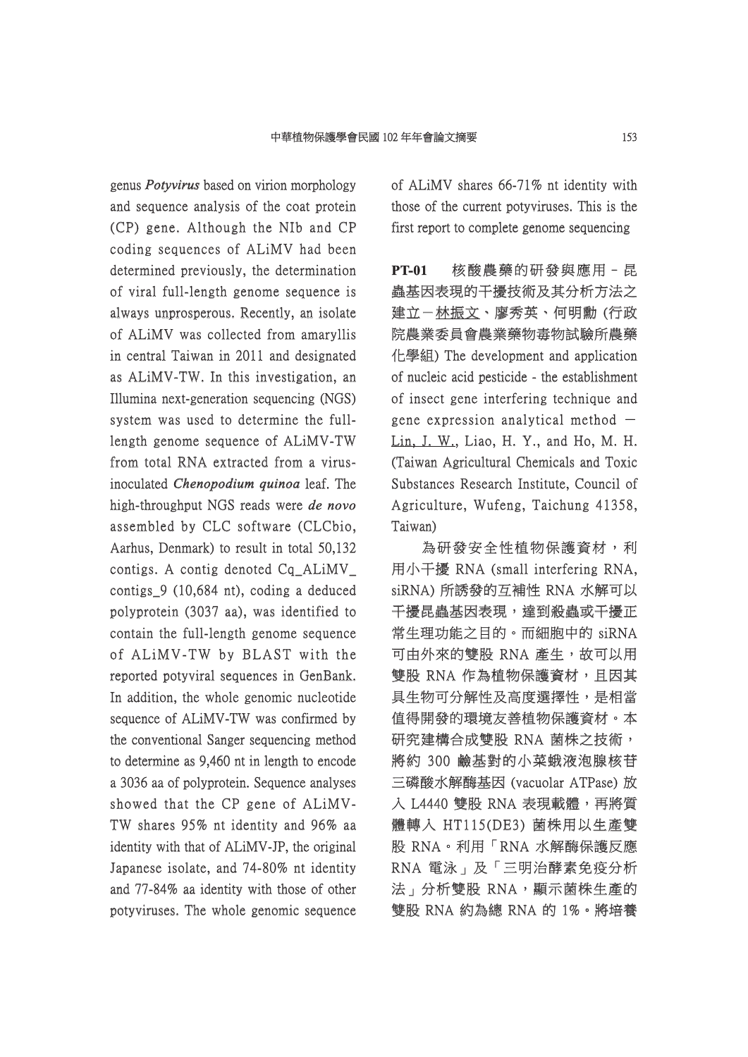genus *Potyvirus* based on virion morphology and sequence analysis of the coat protein  $(CP)$  gene. Although the NIb and  $CP$ coding sequences of ALiMV had been determined previously, the determination of viral full-length genome sequence is f always unprosperous. Recently, an isolate of ALiMV was collected from amaryllis f in central Taiwan in 2011 and designated as ALiMV-TW. In this investigation, an Illumina next-generation sequencing (NGS) system was used to determine the fulllength genome sequence of  $ALiMV-TW$ from total RNA extracted from a virusinoculated *Chenopodium quinoa* leaf. The high-throughput *NGS* reads were *de novo* assembled by CLC software (CLCbio, Aarhus, Denmark) to result in total  $50,132$ contigs. A contig denoted  $Cq$ \_ALiMV\_ contigs  $9$  (10,684 nt), coding a deduced polyprotein (3037 aa), was identified to contain the full-length genome sequence of ALiMV-TW by BLAST with the reported potyviral sequences in GenBank. In addition, the whole genomic nucleotide sequence of ALIMV-TW was confirmed by the conventional Sanger sequencing method to determine as 9,460 nt in length to encode a 3036 aa of polyprotein. Sequence analyses showed that the CP gene of ALiMV-TW shares 95% nt identity and 96% aa identity with that of ALiMV-JP, the original Japanese isolate, and 74-80% nt identity and 77-84% aa identity with those of other potyviruses. The whole genomic sequence of ALiMV shares 66-71% nt identity with f those of the current potyviruses. This is the first report to complete genome sequencing

**PT-01** 核酸農藥的研發與應用–昆 蟲基因表現的干擾技術及其分析方法之 建立-林振文、廖秀英、何明勳 (行政 院農業委員會農業藥物毒物試驗所農藥 化學組) The development and application of nucleic acid pesticide - the establishment of insect gene interfering technique and f gene expression analytical method  $-$ Lin, J. W., Liao, H. Y., and Ho, M. H. (Taiwan Agricultural Chemicals and Toxic Substances Research Institute, Council of Agriculture, Wufeng, Taichung 41358, Taiwan)

為研發安全性植物保護資材,利 用小干擾 RNA (small interfering RNA, siRNA) 所誘發的互補性 RNA 水解可以 干擾昆蟲基因表現,達到殺蟲或干擾正 常生理功能之目的。而細胞中的 siRNA 可由外來的雙股 RNA 產生,故可以用 雙股 RNA 作為植物保護資材,且因其 具生物可分解性及高度選擇性,是相當 值得開發的環境友善植物保護資材。本 研究建構合成雙股 RNA 菌株之技術, 將約 300 鹼基對的小菜蛾液泡腺核苷 三磷酸水解酶基因 (vacuolar ATPase) 放 入 L4440 雙股 RNA 表現載體,再將質 體轉入 HT115(DE3) 菌株用以生產雙 股 RNA。利用「RNA 水解酶保護反應 RNA 電泳」及「三明治酵素免疫分析 法」分析雙股 RNA,顯示菌株生產的 雙股 RNA 約為總 RNA 的 1%。將培養 股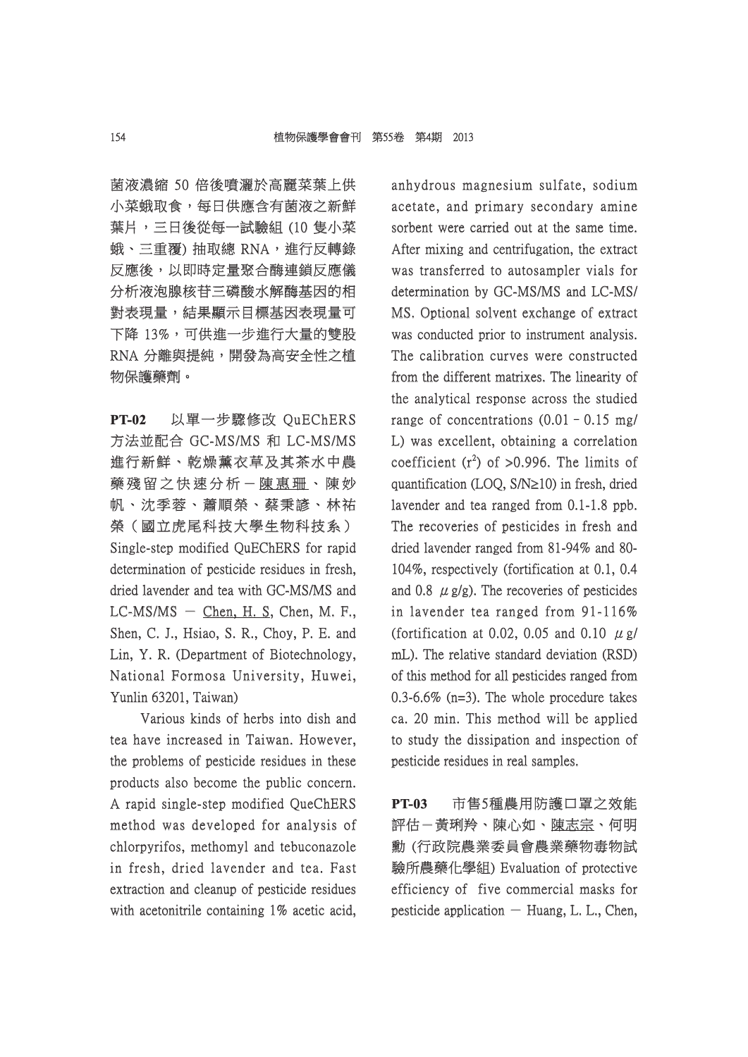菌液濃縮 50 倍後噴灑於高麗菜葉上供 小菜蛾取食,每日供應含有菌液之新鮮 葉片,三日後從每一試驗組 (10 隻小菜 蛾、三重覆) 抽取總 RNA,進行反轉錄 反應後,以即時定量聚合酶連鎖反應儀 分析液泡腺核苷三磷酸水解酶基因的相 對表現量,結果顯示目標基因表現量可 下降 13%,可供進一步進行大量的雙股 RNA 分離與提純,開發為高安全性之植 物保護藥劑。

**PT-02** 以單一步驟修改 QuEChERS 方法並配合 GC-MS/MS 和 LC-MS/MS 進行新鮮、乾燥薰衣草及其茶水中農 藥殘留之快速分析-陳惠珊、陳妙 帆、沈季蓉、蕭順榮、蔡秉諺、林祐 榮(國立虎尾科技大學生物科技系) Single-step modified QuEChERS for rapid determination of pesticide residues in fresh, dried lavender and tea with GC-MS/MS and  $LC-MS/MS - Chen$ , H. S, Chen, M. F., Shen, C. J., Hsiao, S. R., Choy, P. E. and Lin, Y. R. (Department of Biotechnology, National Formosa University, Huwei, Yunlin 63201, Taiwan)

Various kinds of herbs into dish and tea have increased in Taiwan. However, the problems of pesticide residues in these products also become the public concern. A rapid single-step modified QueChERS method was developed for analysis of chlorpyrifos, methomyl and tebuconazole in fresh, dried lavender and tea. Fast extraction and cleanup of pesticide residues with acetonitrile containing  $1\%$  acetic acid, anhydrous magnesium sulfate, sodium acetate, and primary secondary amine sorbent were carried out at the same time. After mixing and centrifugation, the extract was transferred to autosampler vials for determination by GC-MS/MS and LC-MS/ MS. Optional solvent exchange of extract was conducted prior to instrument analysis. The calibration curves were constructed from the different matrixes. The linearity of the analytical response across the studied range of concentrations  $(0.01 - 0.15 \text{ mg})$ L) was excellent, obtaining a correlation coefficient  $(r^2)$  of >0.996. The limits of quantification (LOQ,  $S/N \ge 10$ ) in fresh, dried lavender and tea ranged from  $0.1$ -1.8 ppb. The recoveries of pesticides in fresh and dried lavender ranged from 81-94% and 80-104%, respectively (fortification at 0.1, 0.4 and 0.8  $\mu$  g/g). The recoveries of pesticides in lavender tea ranged from  $91-116\%$ (fortification at 0.02, 0.05 and 0.10  $\mu$  g/ mL). The relative standard deviation (RSD). of this method for all pesticides ranged from f 0.3-6.6% (n=3). The whole procedure takes ca. 20 min. This method will be applied to study the dissipation and inspection of pesticide residues in real samples.

**PT-03** 市售5種農用防護口罩之效能 評估-黃琍羚、陳心如、陳志宗、何明 勳 (行政院農業委員會農業藥物毒物試 (行政院農業委員會農業藥物毒物試 驗所農藥化學組) Evaluation of protective efficiency of five commercial masks for pesticide application  $-$  Huang, L. L., Chen,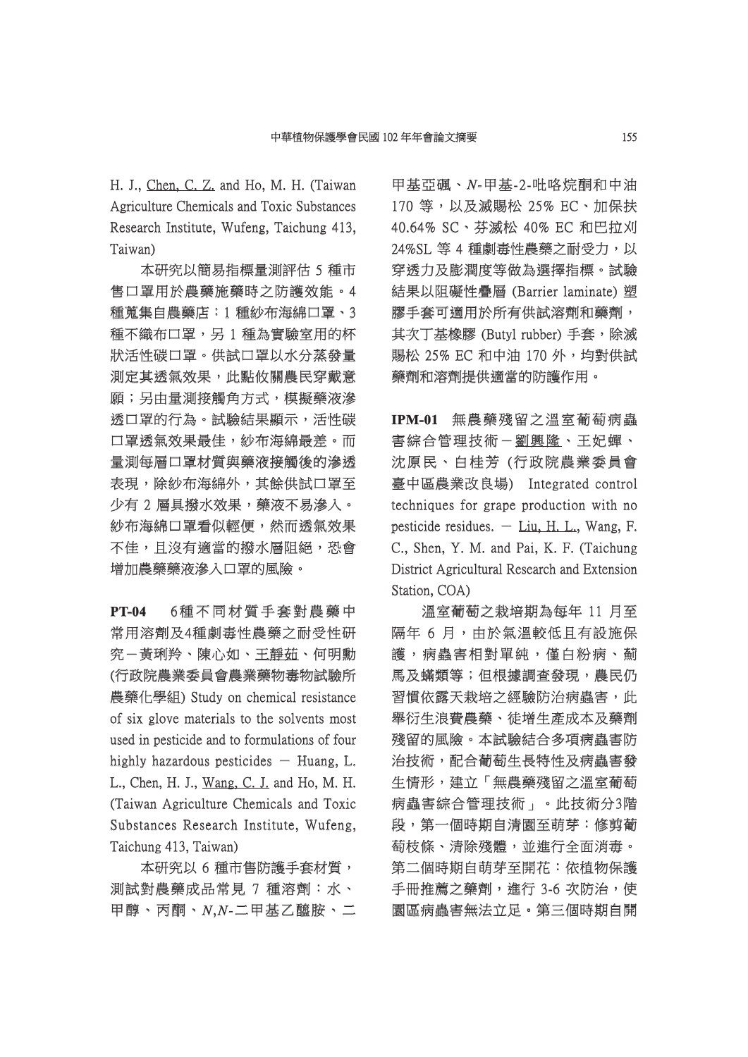H. J., Chen, C. Z. and Ho, M. H. (Taiwan Agriculture Chemicals and Toxic Substances Research Institute, Wufeng, Taichung 413, Taiwan)

本研究以簡易指標量測評估 5 種市 售口罩用於農藥施藥時之防護效能。4 種蒐集自農藥店:1 種紗布海綿口罩、3 種不織布口罩,另1種為實驗室用的杯 狀活性碳口罩。供試口罩以水分蒸發量 測定其透氣效果,此點攸關農民穿戴意 願;另由量測接觸角方式,模擬藥液滲 透口罩的行為。試驗結果顯示,活性碳 口罩透氣效果最佳,紗布海綿最差。而 量測每層口罩材質與藥液接觸後的滲透 表現,除紗布海綿外,其餘供試口罩至 少有 2 層具撥水效果,藥液不易滲入。 紗布海綿口罩看似輕便,然而透氣效果 不佳,且沒有適當的撥水層阻絕,恐會 增加農藥藥液滲入口罩的風險。

**PT-04** 6種不同材質手套對農藥中 6 種 不 同 材 質 手 套 對 農 藥 中 常用溶劑及4種劇毒性農藥之耐受性研 究一黃琍羚、陳心如、王靜茹、何明勳 (行政院農業委員會農業藥物毒物試驗所 農藥化學組) Study on chemical resistance of six glove materials to the solvents most f used in pesticide and to formulations of four highly hazardous pesticides  $-$  Huang, L. L., Chen, H. J., Wang, C. J. and Ho, M. H. (Taiwan Agriculture Chemicals and Toxic Substances Research Institute, Wufeng, Taichung 413, Taiwan)

本研究以 6 種市售防護手套材質, 測試對農藥成品常見 7 種溶劑:水、 甲醇、丙酮、*N*,*N-*二甲基乙醯胺、二 甲基乙醯胺、二

甲基亞碸、N-甲基-2-吡咯烷酮和中油 170 等, 以及滅賜松 25% EC、加保扶 40.64% SC、芬滅松 40% EC 和巴拉刈 24%SL 等 4 種劇毒性農藥之耐受力, 以 穿透力及膨潤度等做為選擇指標。試驗 結果以阻礙性疊層 (Barrier laminate) 塑 膠手套可滴用於所有供試溶劑和藥劑, 其次丁基橡膠 (Butyl rubber) 手套,除滅 賜松 25% EC 和中油 170 外,均對供試 藥劑和溶劑提供適當的防護作用。

**IPM-01** 無農藥殘留之溫室葡萄病蟲 害綜合管理技術-劉興隆、王妃蟬、 沈原民、白桂芳 (行政院農業委員會 臺中區農業改良場) Integrated control techniques for grape production with no pesticide residues.  $-$  Liu, H. L., Wang, F. C., Shen, Y. M. and Pai, K. F. (Taichung District Agricultural Research and Extension Station, COA)

溫室葡萄之栽培期為每年 11 月至 隔年 6 月,由於氣溫較低且有設施保 護,病蟲害相對單純,僅白粉病、薊 馬及蟎類等;但根據調查發現,農民仍 習慣依露天栽培之經驗防治病蟲害,此 舉衍生浪費農藥、徒增生產成本及藥劑 殘留的風險。本試驗結合多項病蟲害防 治技術,配合葡萄生長特性及病蟲害發 生情形,建立「無農藥殘留之溫室葡萄 病蟲害綜合管理技術」。此技術分3階 段,第一個時期自清園至萌芽:修剪葡 萄枝條、清除殘體,並進行全面消毒。 第二個時期自萌芽至開花:依植物保護 手冊推薦之藥劑,進行 3-6 次防治,使 園區病蟲害無法立足。第三個時期自開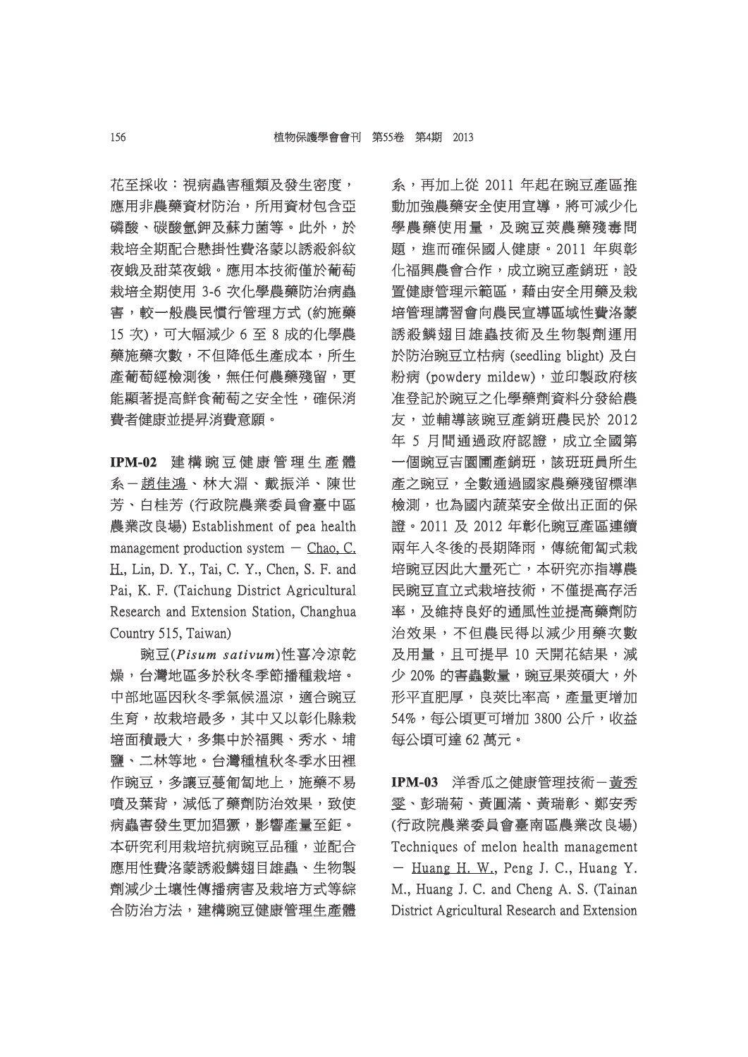花至採收: 視病蟲害種類及發生密度, 應用非農藥資材防治,所用資材包含亞 磷酸、碳酸氫鉀及蘇力菌等。此外,於 栽培全期配合懸掛性費洛蒙以誘殺斜紋 夜蛾及甜菜夜蛾。應用本技術僅於葡萄 栽培全期使用 3-6 次化學農藥防治病蟲 害,較一般農民慣行管理方式 (約施藥 15 次),可大幅減少 6 至 8 成的化學農 藥施藥次數,不但降低生產成本,所生 產葡萄經檢測後,無任何農藥殘留,更 能顯著提高鮮食葡萄之安全性,確保消 費者健康並提昇消費意願。

IPM-02 建構豌豆健康管理生產體 系一趙佳鴻、林大淵、戴振洋、陳世 芳、白桂芳 (行政院農業委員會臺中區 農業改良場) Establishment of pea health management production system  $-$  Chao, C. H., Lin, D. Y., Tai, C. Y., Chen, S. F. and Pai, K. F. (Taichung District Agricultural Research and Extension Station, Changhua Country 515, Taiwan)

豌豆(*Pisum sativum isum* )性喜冷涼乾 燥,台灣地區多於秋冬季節播種栽培。 ,台灣地區多於秋冬季節播種栽培。 中部地區因秋冬季氣候溫涼,適合豌豆 生育,故栽培最多,其中又以彰化縣栽 培面積最大,多集中於福興、秀水、埔 鹽、二林等地。台灣種植秋冬季水田裡 作豌豆,多讓豆蔓匍匐地上,施藥不易 嗜及葉背,減低了藥劑防治效果,致使 病蟲害發生更加猖獗,影響產量至鉅。 本研究利用栽培抗病豌豆品種,並配合 應用性費洛蒙誘殺鱗翅目雄蟲、生物製 劑減少土壤性傳播病害及栽培方式等綜 合防治方法,建構豌豆健康管理生產體 系,再加上從 2011 年起在豌豆產區推 動加強農藥安全使用宣導,將可減少化 學農藥使用量,及豌豆莢農藥殘毒問 題,進而確保國人健康。2011 年與彰 化福興農會合作,成立豌豆產銷班,設 置健康管理示範區,藉由安全用藥及栽 培管理講習會向農民宣導區域性費洛蒙 誘殺鱗翅目雄蟲技術及生物製劑運用 於防治豌豆立枯病 (seedling blight) 及白 粉病 (powdery mildew), 並印製政府核 准登記於豌豆之化學藥劑資料分發給農 友,並輔導該豌豆產銷班農民於 2012 年 5 月間通過政府認證,成立全國第 一個豌豆吉園圃產銷班,該班班員所生 產之豌豆,全數通過國家農藥殘留標準 檢測,也為國內蔬菜安全做出正面的保 證。2011 及 2012 年彰化豌豆產區連續 兩年入冬後的長期降雨,傳統匍匐式栽 培豌豆因此大量死亡,本研究亦指導農 民豌豆直立式栽培技術,不僅提高存活 率,及維持良好的通風性並提高藥劑防 治效果,不但農民得以減少用藥次數 及用量,且可提早 10 天開花結果,減 少 20% 的害蟲數量,豌豆果莢碩大,外 形平直肥厚,良莢比率高,產量更增加 54%,每公頃更可增加 3800 公斤,收益 每公頃可達 62 萬元。

IPM-03 洋香瓜之健康管理技術-黃秀 雯、彭瑞菊、黃圓滿、黃瑞彰、鄭安秀 彭瑞菊、黃圓滿、黃瑞彰、鄭安秀 (行政院農業委員會臺南區農業改良場) Techniques of melon health management  $-$  Huang H. W., Peng J. C., Huang Y. M., Huang J. C. and Cheng A. S. (Tainan District Agricultural Research and Extension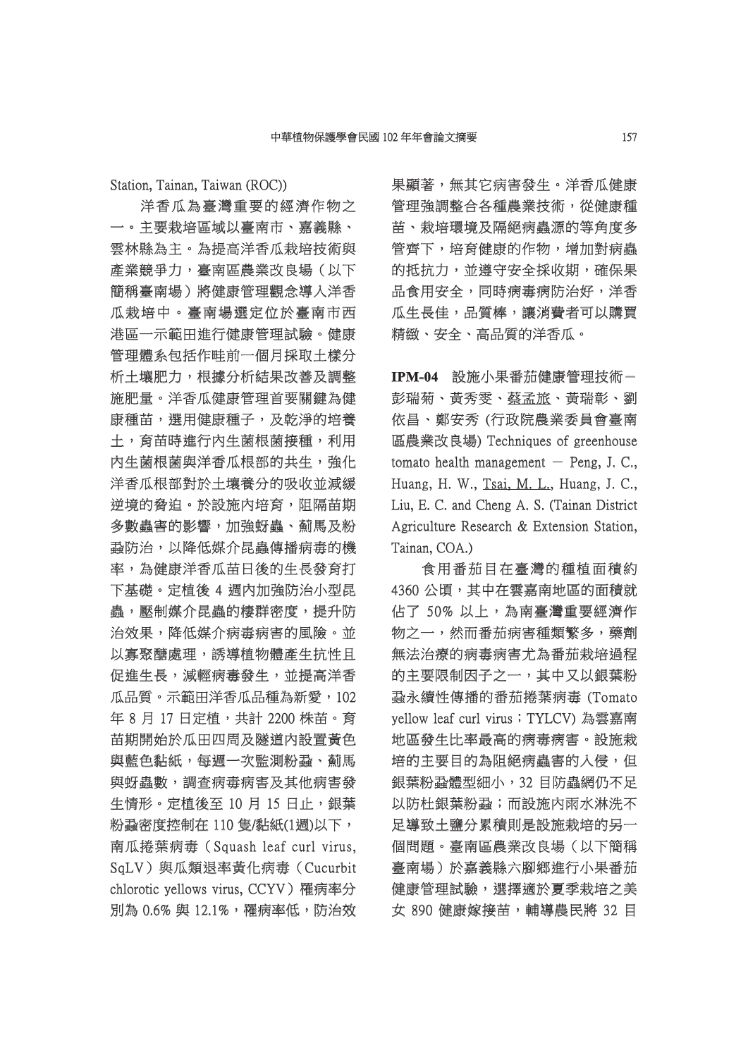Station, Tainan, Taiwan (ROC))

洋香瓜為臺灣重要的經濟作物之 一。主要栽培區域以臺南市、嘉義縣、 雲林縣為主。為提高洋香瓜栽培技術與 產業競爭力,臺南區農業改良場(以下 簡稱臺南場)將健康管理觀念導入洋香 瓜栽培中。臺南場選定位於臺南市西 港區一示範田進行健康管理試驗。健康 管理體系包括作畦前一個月採取土樣分 析土壤肥力,根據分析結果改善及調整 施肥量。洋香瓜健康管理首要關鍵為健 肥量。洋香瓜健康管理首要關鍵為健 康種苗,選用健康種子,及乾淨的培養 土,育苗時進行內生菌根菌接種,利用 内生菌根菌與洋香瓜根部的共生,強化 洋香瓜根部對於土壤養分的吸收並減緩 逆境的脅迫。於設施內培育,阻隔苗期 多數蟲害的影響,加強蚜蟲、薊馬及粉 蝨防治,以降低媒介昆蟲傳播病毒的機 率,為健康洋香瓜苗日後的生長發育打 下基礎。定植後 4 週内加強防治小型昆 蟲,壓制媒介昆蟲的棲群密度,提升防 治效果,降低媒介病毒病害的風險。並 以寡聚醣處理,誘導植物體產生抗性且 促進生長,減輕病毒發生,並提高洋香 瓜品質。示範田洋香瓜品種為新愛,102 年 8 月 17 日定植,共計 2200 株苗。育 苗期開始於瓜田四周及隧道内設置黃色 與藍色黏紙,每週一次監測粉蝨、薊馬 與蚜蟲數,調查病毒病害及其他病害發 生情形。定植後至10月15日止,銀葉 粉蝨密度控制在 110 隻/黏紙(1週)以下, 南瓜捲葉病毒 (Squash leaf curl virus, SqLV)與瓜類退率黃化病毒(Cucurbit chlorotic yellows virus, CCYV) 罹病率分 別為 0.6% 與 12.1%,罹病率低,防治效 果顯著,無其它病害發生。洋香瓜健康 管理強調整合各種農業技術,從健康種 苗、栽培環境及隔絕病蟲源的等角度多 管齊下,培育健康的作物,增加對病蟲 的抵抗力,並遵守安全採收期,確保果 品食用安全,同時病毒病防治好,洋香 瓜生長佳,品質棒,讓消費者可以購買 精緻、安全、高品質的洋香瓜。

**IPM-04** 設施小果番茄健康管理技術- 彭瑞菊、黃秀雯、蔡孟旅、黃瑞彰、劉 依昌、鄭安秀 (行政院農業委員會臺南 區農業改良場) Techniques of greenhouse tomato health management  $-$  Peng, J. C., Huang, H. W., Tsai, M. L., Huang, J. C., Liu, E. C. and Cheng A. S. (Tainan District Agriculture Research & Extension Station, Tainan, COA.)

食用番茄目在臺灣的種植面積約 4360 公頃,其中在雲嘉南地區的面積就 佔了 50% 以上,為南臺灣重要經濟作 物之一,然而番茄病害種類繁多,藥劑 無法治療的病毒病害尤為番茄栽培過程 的主要限制因子之一,其中又以銀葉粉 蝨永續性傳播的番茄捲葉病毒 (Tomato yellow leaf curl virus; TYLCV) 為雲嘉南 地區發生比率最高的病毒病害。設施栽 培的主要目的為阻絕病蟲害的入侵,但 銀葉粉蝨體型細小,32 目防蟲網仍不足 以防杜銀葉粉蝨;而設施内雨水淋洗不 足導致土鹽分累積則是設施栽培的另一 個問題。臺南區農業改良場(以下簡稱 臺南場)於嘉義縣六腳鄉進行小果番茄 健康管理試驗,選擇適於夏季栽培之美 女 890 健康嫁接苗,輔導農民將 32 目